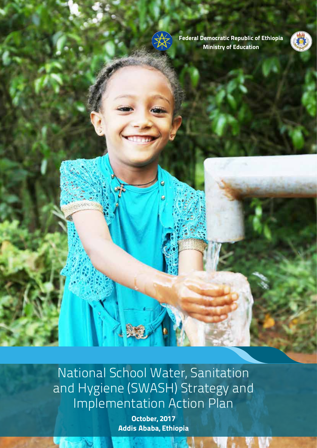

**Federal Democratic Republic of Ethiopia Ministry of Education**



National School Water, Sanitation and Hygiene (SWASH) Strategy and Implementation Action Plan

Ñ

**October, 2017 Addis Ababa, Ethiopia**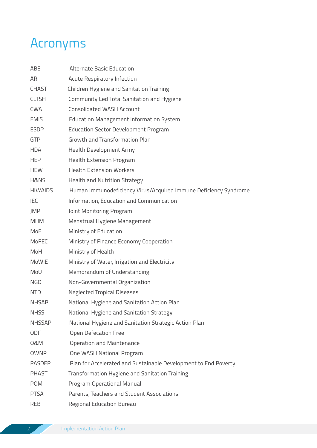## Acronyms

| ABE             | <b>Alternate Basic Education</b>                                 |  |  |  |  |  |
|-----------------|------------------------------------------------------------------|--|--|--|--|--|
| ARI             | Acute Respiratory Infection                                      |  |  |  |  |  |
| <b>CHAST</b>    | Children Hygiene and Sanitation Training                         |  |  |  |  |  |
| <b>CLTSH</b>    | Community Led Total Sanitation and Hygiene                       |  |  |  |  |  |
| <b>CWA</b>      | <b>Consolidated WASH Account</b>                                 |  |  |  |  |  |
| <b>EMIS</b>     | <b>Education Management Information System</b>                   |  |  |  |  |  |
| <b>ESDP</b>     | <b>Education Sector Development Program</b>                      |  |  |  |  |  |
| <b>GTP</b>      | Growth and Transformation Plan                                   |  |  |  |  |  |
| <b>HDA</b>      | Health Development Army                                          |  |  |  |  |  |
| <b>HEP</b>      | <b>Health Extension Program</b>                                  |  |  |  |  |  |
| <b>HEW</b>      | <b>Health Extension Workers</b>                                  |  |  |  |  |  |
| H&NS            | Health and Nutrition Strategy                                    |  |  |  |  |  |
| <b>HIV/AIDS</b> | Human Immunodeficiency Virus/Acquired Immune Deficiency Syndrome |  |  |  |  |  |
| <b>IEC</b>      | Information, Education and Communication                         |  |  |  |  |  |
| JMP             | Joint Monitoring Program                                         |  |  |  |  |  |
| <b>MHM</b>      | Menstrual Hygiene Management                                     |  |  |  |  |  |
| MoE             | Ministry of Education                                            |  |  |  |  |  |
| MoFEC           | Ministry of Finance Economy Cooperation                          |  |  |  |  |  |
| MoH             | Ministry of Health                                               |  |  |  |  |  |
| MoWIE           | Ministry of Water, Irrigation and Electricity                    |  |  |  |  |  |
| MoU             | Memorandum of Understanding                                      |  |  |  |  |  |
| <b>NGO</b>      | Non-Governmental Organization                                    |  |  |  |  |  |
| <b>NTD</b>      | <b>Neglected Tropical Diseases</b>                               |  |  |  |  |  |
| <b>NHSAP</b>    | National Hygiene and Sanitation Action Plan                      |  |  |  |  |  |
| <b>NHSS</b>     | National Hygiene and Sanitation Strategy                         |  |  |  |  |  |
| <b>NHSSAP</b>   | National Hygiene and Sanitation Strategic Action Plan            |  |  |  |  |  |
| <b>ODF</b>      | Open Defecation Free                                             |  |  |  |  |  |
| 0&M             | Operation and Maintenance                                        |  |  |  |  |  |
| <b>OWNP</b>     | One WASH National Program                                        |  |  |  |  |  |
| <b>PASDEP</b>   | Plan for Accelerated and Sustainable Development to End Poverty  |  |  |  |  |  |
| <b>PHAST</b>    | Transformation Hygiene and Sanitation Training                   |  |  |  |  |  |
| <b>POM</b>      | Program Operational Manual                                       |  |  |  |  |  |
| <b>PTSA</b>     | Parents, Teachers and Student Associations                       |  |  |  |  |  |
| <b>REB</b>      | <b>Regional Education Bureau</b>                                 |  |  |  |  |  |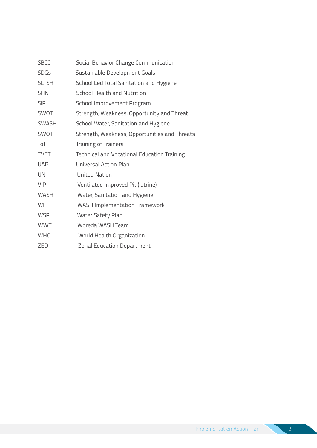| <b>SBCC</b>  | Social Behavior Change Communication               |
|--------------|----------------------------------------------------|
| <b>SDGs</b>  | Sustainable Development Goals                      |
| <b>SLTSH</b> | School Led Total Sanitation and Hygiene            |
| <b>SHN</b>   | <b>School Health and Nutrition</b>                 |
| <b>SIP</b>   | School Improvement Program                         |
| <b>SWOT</b>  | Strength, Weakness, Opportunity and Threat         |
| <b>SWASH</b> | School Water, Sanitation and Hygiene               |
| SWOT         | Strength, Weakness, Opportunities and Threats      |
| ToT          | <b>Training of Trainers</b>                        |
| <b>TVET</b>  | <b>Technical and Vocational Education Training</b> |
| <b>UAP</b>   | Universal Action Plan                              |
| UN           | <b>United Nation</b>                               |
| <b>VIP</b>   | Ventilated Improved Pit (latrine)                  |
| <b>WASH</b>  | Water, Sanitation and Hygiene                      |
| <b>WIF</b>   | <b>WASH Implementation Framework</b>               |
| <b>WSP</b>   | Water Safety Plan                                  |
| <b>WWT</b>   | Woreda WASH Team                                   |
| <b>WHO</b>   | World Health Organization                          |
| <b>ZED</b>   | <b>Zonal Education Department</b>                  |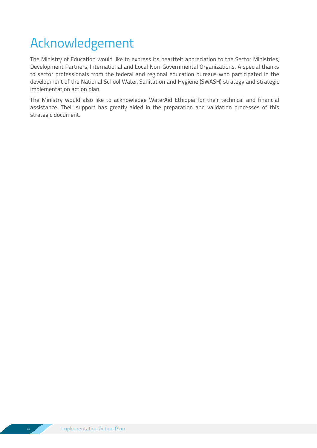### Acknowledgement

The Ministry of Education would like to express its heartfelt appreciation to the Sector Ministries, Development Partners, International and Local Non-Governmental Organizations. A special thanks to sector professionals from the federal and regional education bureaus who participated in the development of the National School Water, Sanitation and Hygiene (SWASH) strategy and strategic implementation action plan.

The Ministry would also like to acknowledge WaterAid Ethiopia for their technical and financial assistance. Their support has greatly aided in the preparation and validation processes of this strategic document.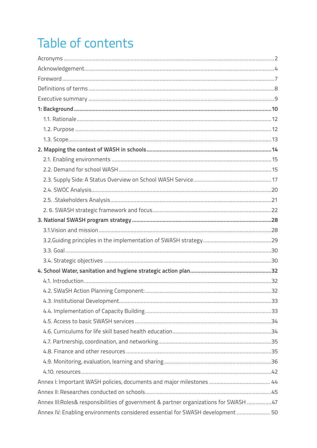## Table of contents

| Annex III: Roles& responsibilities of government & partner organizations for SWASH 47 |  |
|---------------------------------------------------------------------------------------|--|
| Annex IV: Enabling environments considered essential for SWASH development  50        |  |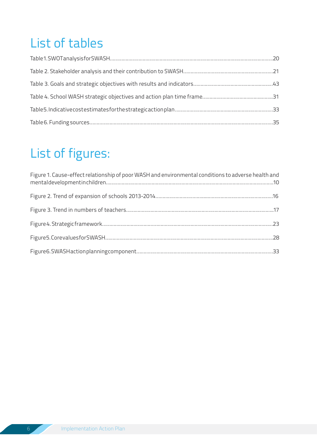### List of tables

### List of figures:

| Figure 1. Cause-effect relationship of poor WASH and environmental conditions to adverse health and |  |
|-----------------------------------------------------------------------------------------------------|--|
|                                                                                                     |  |
|                                                                                                     |  |
|                                                                                                     |  |
|                                                                                                     |  |
|                                                                                                     |  |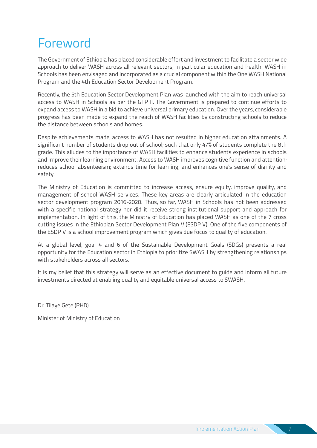### Foreword

The Government of Ethiopia has placed considerable effort and investment to facilitate a sector wide approach to deliver WASH across all relevant sectors; in particular education and health. WASH in Schools has been envisaged and incorporated as a crucial component within the One WASH National Program and the 4th Education Sector Development Program.

Recently, the 5th Education Sector Development Plan was launched with the aim to reach universal access to WASH in Schools as per the GTP II. The Government is prepared to continue efforts to expand access to WASH in a bid to achieve universal primary education. Over the years, considerable progress has been made to expand the reach of WASH facilities by constructing schools to reduce the distance between schools and homes.

Despite achievements made, access to WASH has not resulted in higher education attainments. A significant number of students drop out of school; such that only 47% of students complete the 8th grade. This alludes to the importance of WASH facilities to enhance students experience in schools and improve their learning environment. Access to WASH improves cognitive function and attention; reduces school absenteeism; extends time for learning; and enhances one's sense of dignity and safety.

The Ministry of Education is committed to increase access, ensure equity, improve quality, and management of school WASH services. These key areas are clearly articulated in the education sector development program 2016-2020. Thus, so far, WASH in Schools has not been addressed with a specific national strategy nor did it receive strong institutional support and approach for implementation. In light of this, the Ministry of Education has placed WASH as one of the 7 cross cutting issues in the Ethiopian Sector Development Plan V (ESDP V). One of the five components of the ESDP V is a school improvement program which gives due focus to quality of education.

At a global level, goal 4 and 6 of the Sustainable Development Goals (SDGs) presents a real opportunity for the Education sector in Ethiopia to prioritize SWASH by strengthening relationships with stakeholders across all sectors.

It is my belief that this strategy will serve as an effective document to guide and inform all future investments directed at enabling quality and equitable universal access to SWASH.

Dr. Tilaye Gete (PHD)

Minister of Ministry of Education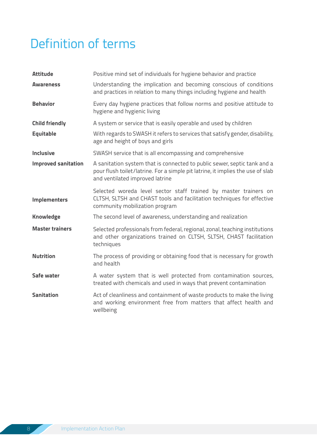### Definition of terms

| <b>Attitude</b>            | Positive mind set of individuals for hygiene behavior and practice                                                                                                                             |
|----------------------------|------------------------------------------------------------------------------------------------------------------------------------------------------------------------------------------------|
| <b>Awareness</b>           | Understanding the implication and becoming conscious of conditions<br>and practices in relation to many things including hygiene and health                                                    |
| <b>Behavior</b>            | Every day hygiene practices that follow norms and positive attitude to<br>hygiene and hygienic living                                                                                          |
| <b>Child friendly</b>      | A system or service that is easily operable and used by children                                                                                                                               |
| <b>Equitable</b>           | With regards to SWASH it refers to services that satisfy gender, disability,<br>age and height of boys and girls                                                                               |
| <b>Inclusive</b>           | SWASH service that is all encompassing and comprehensive                                                                                                                                       |
| <b>Improved sanitation</b> | A sanitation system that is connected to public sewer, septic tank and a<br>pour flush toilet/latrine. For a simple pit latrine, it implies the use of slab<br>and ventilated improved latrine |
| <b>Implementers</b>        | Selected woreda level sector staff trained by master trainers on<br>CLTSH, SLTSH and CHAST tools and facilitation techniques for effective<br>community mobilization program                   |
| <b>Knowledge</b>           | The second level of awareness, understanding and realization                                                                                                                                   |
| <b>Master trainers</b>     | Selected professionals from federal, regional, zonal, teaching institutions<br>and other organizations trained on CLTSH, SLTSH, CHAST facilitation<br>techniques                               |
| <b>Nutrition</b>           | The process of providing or obtaining food that is necessary for growth<br>and health                                                                                                          |
| Safe water                 | A water system that is well protected from contamination sources,<br>treated with chemicals and used in ways that prevent contamination                                                        |
| <b>Sanitation</b>          | Act of cleanliness and containment of waste products to make the living<br>and working environment free from matters that affect health and<br>wellbeing                                       |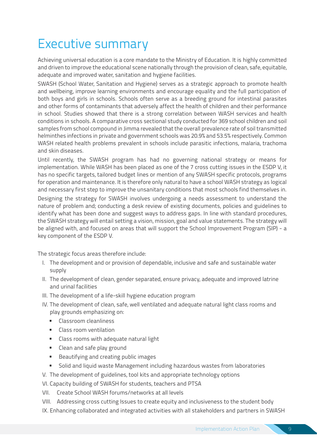### Executive summary

Achieving universal education is a core mandate to the Ministry of Education. It is highly committed and driven to improve the educational scene nationally through the provision of clean, safe, equitable, adequate and improved water, sanitation and hygiene facilities.

SWASH (School Water, Sanitation and Hygiene) serves as a strategic approach to promote health and wellbeing, improve learning environments and encourage equality and the full participation of both boys and girls in schools. Schools often serve as a breeding ground for intestinal parasites and other forms of contaminants that adversely affect the health of children and their performance in school. Studies showed that there is a strong correlation between WASH services and health conditions in schools. A comparative cross sectional study conducted for 369 school children and soil samples from school compound in Jimma revealed that the overall prevalence rate of soil transmitted helminthes infections in private and government schools was 20.9% and 53.5% respectively. Common WASH related health problems prevalent in schools include parasitic infections, malaria, trachoma and skin diseases.

Until recently, the SWASH program has had no governing national strategy or means for implementation. While WASH has been placed as one of the 7 cross cutting issues in the ESDP V, it has no specific targets, tailored budget lines or mention of any SWASH specific protocols, programs for operation and maintenance. It is therefore only natural to have a school WASH strategy as logical and necessary first step to improve the unsanitary conditions that most schools find themselves in.

Designing the strategy for SWASH involves undergoing a needs assessment to understand the nature of problem and; conducting a desk review of existing documents, policies and guidelines to identify what has been done and suggest ways to address gaps. In line with standard procedures, the SWASH strategy will entail setting a vision, mission, goal and value statements. The strategy will be aligned with, and focused on areas that will support the School Improvement Program (SIP) - a key component of the ESDP V.

The strategic focus areas therefore include:

- I. The development and or provision of dependable, inclusive and safe and sustainable water supply
- II. The development of clean, gender separated, ensure privacy, adequate and improved latrine and urinal facilities
- III. The development of a life-skill hygiene education program
- IV. The development of clean, safe, well ventilated and adequate natural light class rooms and play grounds emphasizing on:
	- Classroom cleanliness
	- Class room ventilation
	- Class rooms with adequate natural light
	- Clean and safe play ground
	- Beautifying and creating public images
	- Solid and liquid waste Management including hazardous wastes from laboratories
- V. The development of guidelines, tool kits and appropriate technology options

VI. Capacity building of SWASH for students, teachers and PTSA

VII. Create School WASH forums/networks at all levels

VIII. Addressing cross cutting Issues to create equity and inclusiveness to the student body

IX. Enhancing collaborated and integrated activities with all stakeholders and partners in SWASH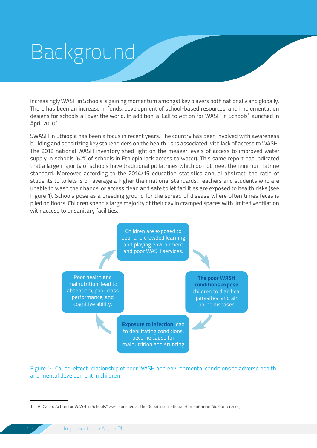# Background

Increasingly WASH in Schools is gaining momentum amongst key players both nationally and globally. There has been an increase in funds, development of school-based resources, and implementation designs for schools all over the world. In addition, a 'Call to Action for WASH in Schools' launched in April 2010.1

SWASH in Ethiopia has been a focus in recent years. The country has been involved with awareness building and sensitizing key stakeholders on the health risks associated with lack of access to WASH. The 2012 national WASH inventory shed light on the meager levels of access to improved water supply in schools (62% of schools in Ethiopia lack access to water). This same report has indicated that a large majority of schools have traditional pit latrines which do not meet the minimum latrine standard. Moreover, according to the 2014/15 education statistics annual abstract, the ratio of students to toilets is on average a higher than national standards. Teachers and students who are unable to wash their hands, or access clean and safe toilet facilities are exposed to health risks (see Figure 1). Schools pose as a breeding ground for the spread of disease where often times feces is piled on floors. Children spend a large majority of their day in cramped spaces with limited ventilation with access to unsanitary facilities.



Figure 1: Cause-effect relationship of poor WASH and environmental conditions to adverse health and mental development in children

<sup>1</sup> A "Call to Action for WASH in Schools" was launched at the Dubai International Humanitarian Aid Conference,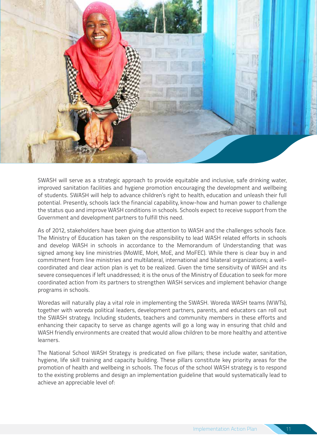

SWASH will serve as a strategic approach to provide equitable and inclusive, safe drinking water, improved sanitation facilities and hygiene promotion encouraging the development and wellbeing of students. SWASH will help to advance children's right to health, education and unleash their full potential. Presently, schools lack the financial capability, know-how and human power to challenge the status quo and improve WASH conditions in schools. Schools expect to receive support from the Government and development partners to fulfill this need.

As of 2012, stakeholders have been giving due attention to WASH and the challenges schools face. The Ministry of Education has taken on the responsibility to lead WASH related efforts in schools and develop WASH in schools in accordance to the Memorandum of Understanding that was signed among key line ministries (MoWIE, MoH, MoE, and MoFEC). While there is clear buy in and commitment from line ministries and multilateral, international and bilateral organizations; a wellcoordinated and clear action plan is yet to be realized. Given the time sensitivity of WASH and its severe consequences if left unaddressed; it is the onus of the Ministry of Education to seek for more coordinated action from its partners to strengthen WASH services and implement behavior change programs in schools.

Woredas will naturally play a vital role in implementing the SWASH. Woreda WASH teams (WWTs), together with woreda political leaders, development partners, parents, and educators can roll out the SWASH strategy. Including students, teachers and community members in these efforts and enhancing their capacity to serve as change agents will go a long way in ensuring that child and WASH friendly environments are created that would allow children to be more healthy and attentive learners.

The National School WASH Strategy is predicated on five pillars; these include water, sanitation, hygiene, life skill training and capacity building. These pillars constitute key priority areas for the promotion of health and wellbeing in schools. The focus of the school WASH strategy is to respond to the existing problems and design an implementation guideline that would systematically lead to achieve an appreciable level of: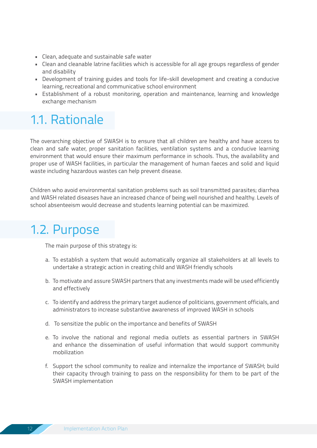- Clean, adequate and sustainable safe water
- Clean and cleanable latrine facilities which is accessible for all age groups regardless of gender and disability
- Development of training guides and tools for life-skill development and creating a conducive learning, recreational and communicative school environment
- Establishment of a robust monitoring, operation and maintenance, learning and knowledge exchange mechanism

### 1.1. Rationale

The overarching objective of SWASH is to ensure that all children are healthy and have access to clean and safe water, proper sanitation facilities, ventilation systems and a conducive learning environment that would ensure their maximum performance in schools. Thus, the availability and proper use of WASH facilities, in particular the management of human faeces and solid and liquid waste including hazardous wastes can help prevent disease.

Children who avoid environmental sanitation problems such as soil transmitted parasites; diarrhea and WASH related diseases have an increased chance of being well nourished and healthy. Levels of school absenteeism would decrease and students learning potential can be maximized.

### 1.2. Purpose

The main purpose of this strategy is:

- a. To establish a system that would automatically organize all stakeholders at all levels to undertake a strategic action in creating child and WASH friendly schools
- b. To motivate and assure SWASH partners that any investments made will be used efficiently and effectively
- c. To identify and address the primary target audience of politicians, government officials, and administrators to increase substantive awareness of improved WASH in schools
- d. To sensitize the public on the importance and benefits of SWASH
- e. To involve the national and regional media outlets as essential partners in SWASH and enhance the dissemination of useful information that would support community mobilization
- f. Support the school community to realize and internalize the importance of SWASH; build their capacity through training to pass on the responsibility for them to be part of the SWASH implementation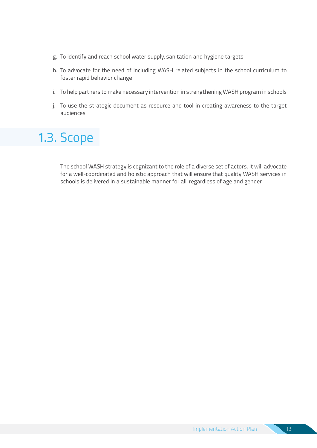- g. To identify and reach school water supply, sanitation and hygiene targets
- h. To advocate for the need of including WASH related subjects in the school curriculum to foster rapid behavior change
- i. To help partners to make necessary intervention in strengthening WASH program in schools
- j. To use the strategic document as resource and tool in creating awareness to the target audiences

### 1.3. Scope

The school WASH strategy is cognizant to the role of a diverse set of actors. It will advocate for a well-coordinated and holistic approach that will ensure that quality WASH services in schools is delivered in a sustainable manner for all, regardless of age and gender.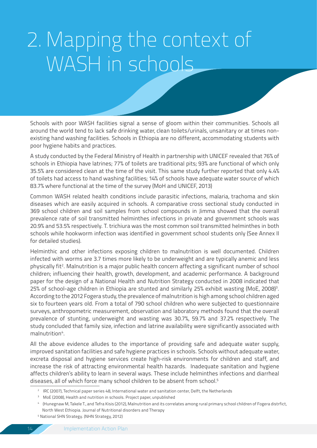# 2. Mapping the context of WASH in schools

Schools with poor WASH facilities signal a sense of gloom within their communities. Schools all around the world tend to lack safe drinking water, clean toilets/urinals, unsanitary or at times nonexisting hand washing facilities. Schools in Ethiopia are no different, accommodating students with poor hygiene habits and practices.

A study conducted by the Federal Ministry of Health in partnership with UNICEF revealed that 76% of schools in Ethiopia have latrines; 77% of toilets are traditional pits; 93% are functional of which only 35.5% are considered clean at the time of the visit. This same study further reported that only 4.4% of toilets had access to hand washing facilities; 14% of schools have adequate water source of which 83.7% where functional at the time of the survey (MoH and UNICEF, 2013)

Common WASH related health conditions include parasitic infections, malaria, trachoma and skin diseases which are easily acquired in schools. A comparative cross sectional study conducted in 369 school children and soil samples from school compounds in Jimma showed that the overall prevalence rate of soil transmitted helminthes infections in private and government schools was 20.9% and 53.5% respectively. T. trichiura was the most common soil transmitted helminthes in both schools while hookworm infection was identified in government school students only (See Annex II for detailed studies).

Helminthic and other infections exposing children to malnutrition is well documented. Children infected with worms are 3.7 times more likely to be underweight and are typically anemic and less physically fit<sup>2</sup>. Malnutrition is a major public health concern affecting a significant number of school children; influencing their health, growth, development, and academic performance. A background paper for the design of a National Health and Nutrition Strategy conducted in 2008 indicated that 25% of school-age children in Ethiopia are stunted and similarly 25% exhibit wasting (MoE, 2008)<sup>3</sup>. According to the 2012 Fogera study, the prevalence of malnutrition is high among school children aged six to fourteen years old. From a total of 790 school children who were subjected to questionnaire surveys, anthropometric measurement, observation and laboratory methods found that the overall prevalence of stunting, underweight and wasting was 30.7%, 59.7% and 37.2% respectively. The study concluded that family size, infection and latrine availability were significantly associated with malnutrition<sup>4</sup>.

All the above evidence alludes to the importance of providing safe and adequate water supply, improved sanitation facilities and safe hygiene practices in schools. Schools without adequate water, excreta disposal and hygiene services create high-risk environments for children and staff, and increase the risk of attracting environmental health hazards. Inadequate sanitation and hygiene affects children's ability to learn in several ways. These include helminthes infections and diarrheal diseases, all of which force many school children to be absent from school.5

<sup>2</sup> IRC (2007), Technical paper series 48, International water and sanitation center, Delft, the Netherlands

<sup>&</sup>lt;sup>3</sup> MoE (2008), Health and nutrition in schools. Project paper, unpublished

<sup>4 (</sup>Hunegnaw M, Takele T., and Tefra Kisis (2012), Malnutrition and its correlates among rural primary school children of Fogera distrfict, North West Ethiopia. Journal of Nutritional disorders and Therapy

<sup>5</sup> National SHN Strategy. (NHN Strategy, 2012)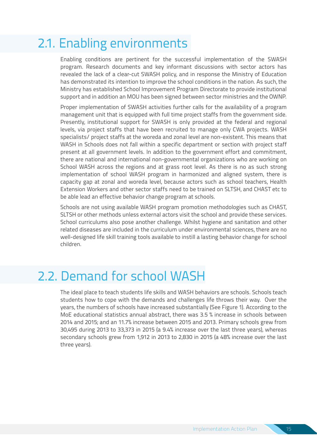### 2.1. Enabling environments

Enabling conditions are pertinent for the successful implementation of the SWASH program. Research documents and key informant discussions with sector actors has revealed the lack of a clear-cut SWASH policy, and in response the Ministry of Education has demonstrated its intention to improve the school conditions in the nation. As such, the Ministry has established School Improvement Program Directorate to provide institutional support and in addition an MOU has been signed between sector ministries and the OWNP.

Proper implementation of SWASH activities further calls for the availability of a program management unit that is equipped with full time project staffs from the government side. Presently, institutional support for SWASH is only provided at the federal and regional levels, via project staffs that have been recruited to manage only CWA projects. WASH specialists/ project staffs at the woreda and zonal level are non-existent. This means that WASH in Schools does not fall within a specific department or section with project staff present at all government levels. In addition to the government effort and commitment, there are national and international non-governmental organizations who are working on School WASH across the regions and at grass root level. As there is no as such strong implementation of school WASH program in harmonized and aligned system, there is capacity gap at zonal and woreda level, because actors such as school teachers, Health Extension Workers and other sector staffs need to be trained on SLTSH, and CHAST etc to be able lead an effective behavior change program at schools.

Schools are not using available WASH program promotion methodologies such as CHAST, SLTSH or other methods unless external actors visit the school and provide these services. School curriculums also pose another challenge. Whilst hygiene and sanitation and other related diseases are included in the curriculum under environmental sciences, there are no well-designed life skill training tools available to instill a lasting behavior change for school children.

### 2.2. Demand for school WASH

The ideal place to teach students life skills and WASH behaviors are schools. Schools teach students how to cope with the demands and challenges life throws their way. Over the years, the numbers of schools have increased substantially (See Figure 1). According to the MoE educational statistics annual abstract, there was 3.5 % increase in schools between 2014 and 2015; and an 11.7% increase between 2015 and 2013. Primary schools grew from 30,495 during 2013 to 33,373 in 2015 (a 9.4% increase over the last three years), whereas secondary schools grew from 1,912 in 2013 to 2,830 in 2015 (a 48% increase over the last three years).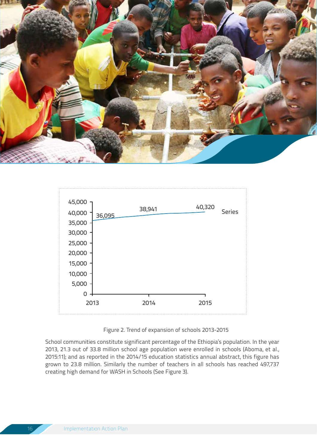



Figure 2. Trend of expansion of schools 2013-2015

School communities constitute significant percentage of the Ethiopia's population. In the year 2013, 21.3 out of 33.8 million school age population were enrolled in schools (Aboma, et al., 2015:11); and as reported in the 2014/15 education statistics annual abstract, this figure has grown to 23.8 million. Similarly the number of teachers in all schools has reached 497,737 creating high demand for WASH in Schools (See Figure 3).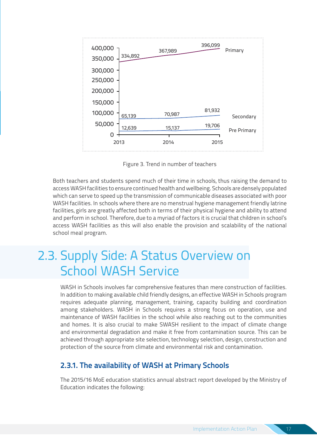

Figure 3. Trend in number of teachers

Both teachers and students spend much of their time in schools, thus raising the demand to access WASH facilities to ensure continued health and wellbeing. Schools are densely populated which can serve to speed up the transmission of communicable diseases associated with poor WASH facilities. In schools where there are no menstrual hygiene management friendly latrine facilities, girls are greatly affected both in terms of their physical hygiene and ability to attend and perform in school. Therefore, due to a myriad of factors it is crucial that children in school's access WASH facilities as this will also enable the provision and scalability of the national school meal program.

### 2.3. Supply Side: A Status Overview on School WASH Service

WASH in Schools involves far comprehensive features than mere construction of facilities. In addition to making available child friendly designs, an effective WASH in Schools program requires adequate planning, management, training, capacity building and coordination among stakeholders. WASH in Schools requires a strong focus on operation, use and maintenance of WASH facilities in the school while also reaching out to the communities and homes. It is also crucial to make SWASH resilient to the impact of climate change and environmental degradation and make it free from contamination source. This can be achieved through appropriate site selection, technology selection, design, construction and protection of the source from climate and environmental risk and contamination.

#### **2.3.1. The availability of WASH at Primary Schools**

The 2015/16 MoE education statistics annual abstract report developed by the Ministry of Education indicates the following: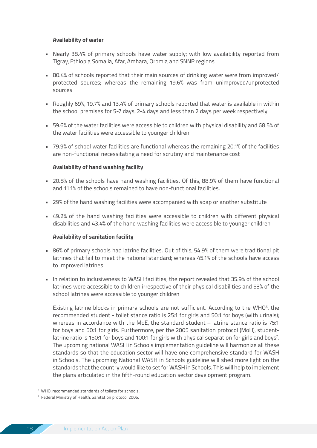#### **Availability of water**

- Nearly 38.4% of primary schools have water supply; with low availability reported from Tigray, Ethiopia Somalia, Afar, Amhara, Oromia and SNNP regions
- 80.4% of schools reported that their main sources of drinking water were from improved/ protected sources; whereas the remaining 19.6% was from unimproved/unprotected sources
- Roughly 69%, 19.7% and 13.4% of primary schools reported that water is available in within the school premises for 5-7 days, 2-4 days and less than 2 days per week respectively
- 59.6% of the water facilities were accessible to children with physical disability and 68.5% of the water facilities were accessible to younger children
- 79.9% of school water facilities are functional whereas the remaining 20.1% of the facilities are non-functional necessitating a need for scrutiny and maintenance cost

#### **Availability of hand washing facility**

- 20.8% of the schools have hand washing facilities. Of this, 88.9% of them have functional and 11.1% of the schools remained to have non-functional facilities.
- 29% of the hand washing facilities were accompanied with soap or another substitute
- 49.2% of the hand washing facilities were accessible to children with different physical disabilities and 43.4% of the hand washing facilities were accessible to younger children

#### **Availability of sanitation facility**

- 86% of primary schools had latrine facilities. Out of this, 54.9% of them were traditional pit latrines that fail to meet the national standard; whereas 45.1% of the schools have access to improved latrines
- In relation to inclusiveness to WASH facilities, the report revealed that 35.9% of the school latrines were accessible to children irrespective of their physical disabilities and 53% of the school latrines were accessible to younger children

Existing latrine blocks in primary schools are not sufficient. According to the WHO<sup>6</sup>, the recommended student - toilet stance ratio is 25:1 for girls and 50:1 for boys (with urinals); whereas in accordance with the MoE, the standard student – latrine stance ratio is 75:1 for boys and 50:1 for girls. Furthermore, per the 2005 sanitation protocol (MoH), studentlatrine ratio is 150:1 for boys and 100:1 for girls with physical separation for girls and boys<sup>7</sup>. The upcoming national WASH in Schools implementation guideline will harmonize all these standards so that the education sector will have one comprehensive standard for WASH in Schools. The upcoming National WASH in Schools guideline will shed more light on the standards that the country would like to set for WASH in Schools. This will help to implement the plans articulated in the fifth-round education sector development program.

<sup>6</sup> WHO, recommended standards of toilets for schools.

<sup>7</sup> Federal Ministry of Health, Sanitation protocol 2005.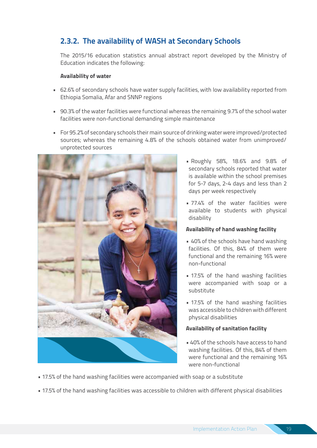#### **2.3.2. The availability of WASH at Secondary Schools**

The 2015/16 education statistics annual abstract report developed by the Ministry of Education indicates the following:

#### **Availability of water**

- 62.6% of secondary schools have water supply facilities, with low availability reported from Ethiopia Somalia, Afar and SNNP regions
- 90.3% of the water facilities were functional whereas the remaining 9.7% of the school water facilities were non-functional demanding simple maintenance
- For 95.2% of secondary schools their main source of drinking water were improved/protected sources; whereas the remaining 4.8% of the schools obtained water from unimproved/ unprotected sources



- Roughly 58%, 18.6% and 9.8% of secondary schools reported that water is available within the school premises for 5-7 days, 2-4 days and less than 2 days per week respectively
- 77.4% of the water facilities were available to students with physical disability

#### **Availability of hand washing facility**

- 40% of the schools have hand washing facilities. Of this, 84% of them were functional and the remaining 16% were non-functional
- 17.5% of the hand washing facilities were accompanied with soap or a substitute
- 17.5% of the hand washing facilities was accessible to children with different physical disabilities

#### **Availability of sanitation facility**

- 40% of the schools have access to hand washing facilities. Of this, 84% of them were functional and the remaining 16% were non-functional
- 17.5% of the hand washing facilities were accompanied with soap or a substitute
- 17.5% of the hand washing facilities was accessible to children with different physical disabilities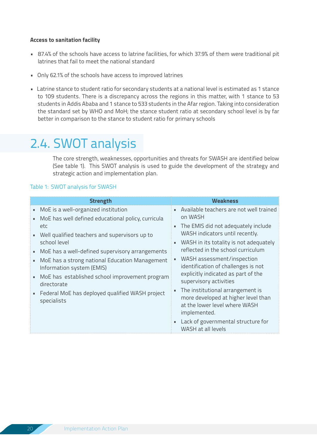#### **Access to sanitation facility**

- 87.4% of the schools have access to latrine facilities, for which 37.9% of them were traditional pit latrines that fail to meet the national standard
- Only 62.1% of the schools have access to improved latrines
- Latrine stance to student ratio for secondary students at a national level is estimated as 1 stance to 109 students. There is a discrepancy across the regions in this matter, with 1 stance to 53 students in Addis Ababa and 1 stance to 533 students in the Afar region. Taking into consideration the standard set by WHO and MoH; the stance student ratio at secondary school level is by far better in comparison to the stance to student ratio for primary schools

### 2.4. SWOT analysis

The core strength, weaknesses, opportunities and threats for SWASH are identified below (See table 1). This SWOT analysis is used to guide the development of the strategy and strategic action and implementation plan.

#### Table 1: SWOT analysis for SWASH

| <b>Strength</b>                                                                                                                | Weakness                                                                                                                       |
|--------------------------------------------------------------------------------------------------------------------------------|--------------------------------------------------------------------------------------------------------------------------------|
| MoE is a well-organized institution<br>MoE has well defined educational policy, curricula                                      | • Available teachers are not well trained<br>on WASH                                                                           |
| etc<br>Well qualified teachers and supervisors up to                                                                           | The EMIS did not adequately include<br>g,<br>WASH indicators until recently.                                                   |
| school level                                                                                                                   | WASH in its totality is not adequately<br>g,<br>reflected in the school curriculum                                             |
| MoE has a well-defined supervisory arrangements<br>MoE has a strong national Education Management<br>Information system (EMIS) | WASH assessment/inspection<br>identification of challenges is not                                                              |
| MoE has established school improvement program<br>directorate                                                                  | explicitly indicated as part of the<br>supervisory activities                                                                  |
| Federal MoE has deployed qualified WASH project<br>specialists                                                                 | The institutional arrangement is<br>n,<br>more developed at higher level than<br>at the lower level where WASH<br>implemented. |
|                                                                                                                                | Lack of governmental structure for<br>u,<br>WASH at all levels                                                                 |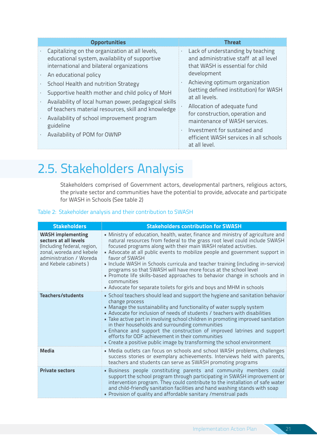| <b>Opportunities</b>                                                                                                                                                                                                                                                                                | <b>Threat</b>                                                                                                                                                                                                                                                                            |
|-----------------------------------------------------------------------------------------------------------------------------------------------------------------------------------------------------------------------------------------------------------------------------------------------------|------------------------------------------------------------------------------------------------------------------------------------------------------------------------------------------------------------------------------------------------------------------------------------------|
| Capitalizing on the organization at all levels,<br>educational system, availability of supportive<br>international and bilateral organizations<br>An educational policy                                                                                                                             | Lack of understanding by teaching<br>×,<br>and administrative staff at all level<br>that WASH is essential for child<br>development                                                                                                                                                      |
| School Health and nutrition Strategy<br>Supportive health mother and child policy of MoH<br>Availability of local human power, pedagogical skills<br>of teachers material resources, skill and knowledge<br>Availability of school improvement program<br>guideline<br>Availability of POM for OWNP | Achieving optimum organization<br>(setting defined institution) for WASH<br>at all levels.<br>Allocation of adequate fund<br>for construction, operation and<br>maintenance of WASH services.<br>Investment for sustained and<br>efficient WASH services in all schools<br>at all level. |

### 2.5. Stakeholders Analysis

Stakeholders comprised of Government actors, developmental partners, religious actors, the private sector and communities have the potential to provide, advocate and participate for WASH in Schools (See table 2)

#### Table 2: Stakeholder analysis and their contribution to SWASH

| <b>Stakeholders</b>                                                                                                                                             | <b>Stakeholders contribution for SWASH</b>                                                                                                                                                                                                                                                                                                                                                                                                                                                                                                                                                                                                                      |
|-----------------------------------------------------------------------------------------------------------------------------------------------------------------|-----------------------------------------------------------------------------------------------------------------------------------------------------------------------------------------------------------------------------------------------------------------------------------------------------------------------------------------------------------------------------------------------------------------------------------------------------------------------------------------------------------------------------------------------------------------------------------------------------------------------------------------------------------------|
| <b>WASH</b> implementing<br>sectors at all levels<br>(Including federal, region,<br>zonal, woreda and kebele<br>administration / Woreda<br>and Kebele cabinets) | • Ministry of education, health, water, finance and ministry of agriculture and<br>natural resources from federal to the grass root level could include SWASH<br>focused programs along with their main WASH related activities.<br>• Advocate at all public events to mobilize people and government support in<br>favor of SWASH<br>. Include WASH in Schools curricula and teacher training (including in-service)<br>programs so that SWASH will have more focus at the school level<br>. Promote life skills-based approaches to behavior change in schools and in<br>communities<br>• Advocate for separate toilets for girls and boys and MHM in schools |
| Teachers/students                                                                                                                                               | • School teachers should lead and support the hygiene and sanitation behavior<br>change process<br>• Manage the sustainability and functionality of water supply system<br>- Advocate for inclusion of needs of students / teachers with disabilities<br>. Take active part in involving school children in promoting improved sanitation<br>in their households and surrounding communities<br>. Enhance and support the construction of improved latrines and support<br>efforts for ODF achievement in their communities<br>. Create a positive public image by transforming the school environment                                                          |
| <b>Media</b>                                                                                                                                                    | . Media outlets can focus on schools and school WASH problems, challenges<br>success stories or exemplary achievements. Interviews held with parents,<br>teachers and students can serve as SWASH promoting programs                                                                                                                                                                                                                                                                                                                                                                                                                                            |
| <b>Private sectors</b>                                                                                                                                          | · Business people constituting parents and community members could<br>support the school program through participating in SWASH improvement or<br>intervention program. They could contribute to the installation of safe water<br>and child-friendly sanitation facilities and hand washing stands with soap<br>. Provision of quality and affordable sanitary / menstrual pads                                                                                                                                                                                                                                                                                |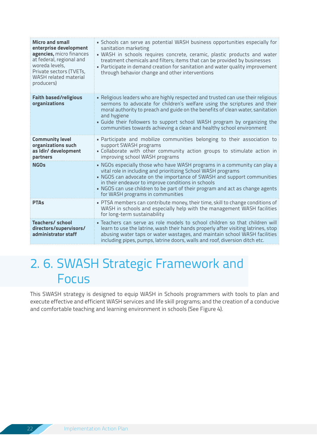| <b>Micro and small</b><br>enterprise development<br>agencies, micro finances<br>at federal, regional and<br>woreda levels,<br>Private sectors (TVETs,<br><b>WASH</b> related material<br>producers) | · Schools can serve as potential WASH business opportunities especially for<br>sanitation marketing<br>· WASH in schools requires concrete, ceramic, plastic products and water<br>treatment chemicals and filters; items that can be provided by businesses<br>. Participate in demand creation for sanitation and water quality improvement<br>through behavior change and other interventions                   |
|-----------------------------------------------------------------------------------------------------------------------------------------------------------------------------------------------------|--------------------------------------------------------------------------------------------------------------------------------------------------------------------------------------------------------------------------------------------------------------------------------------------------------------------------------------------------------------------------------------------------------------------|
| <b>Faith based/religious</b><br>organizations                                                                                                                                                       | . Religious leaders who are highly respected and trusted can use their religious<br>sermons to advocate for children's welfare using the scriptures and their<br>moral authority to preach and guide on the benefits of clean water, sanitation<br>and hygiene<br>• Guide their followers to support school WASH program by organizing the<br>communities towards achieving a clean and healthy school environment |
| <b>Community level</b><br>organizations such<br>as Idir/ development<br>partners                                                                                                                    | . Participate and mobilize communities belonging to their association to<br>support SWASH programs<br>. Collaborate with other community action groups to stimulate action in<br>improving school WASH programs                                                                                                                                                                                                    |
| <b>NGOs</b>                                                                                                                                                                                         | . NGOs especially those who have WASH programs in a community can play a<br>vital role in including and prioritizing School WASH programs<br>• NGOS can advocate on the importance of SWASH and support communities<br>in their endeavor to improve conditions in schools<br>. NGOS can use children to be part of their program and act as change agents<br>for WASH programs in communities                      |
| <b>PTAs</b>                                                                                                                                                                                         | . PTSA members can contribute money, their time, skill to change conditions of<br>WASH in schools and especially help with the management WASH facilities<br>for long-term sustainability                                                                                                                                                                                                                          |
| <b>Teachers/school</b><br>directors/supervisors/<br>administrator staff                                                                                                                             | · Teachers can serve as role models to school children so that children will<br>learn to use the latrine, wash their hands properly after visiting latrines, stop<br>abusing water taps or water wastages, and maintain school WASH facilities<br>including pipes, pumps, latrine doors, walls and roof, diversion ditch etc.                                                                                      |

### 2. 6. SWASH Strategic Framework and Focus

This SWASH strategy is designed to equip WASH in Schools programmers with tools to plan and execute effective and efficient WASH services and life skill programs; and the creation of a conducive and comfortable teaching and learning environment in schools (See Figure 4).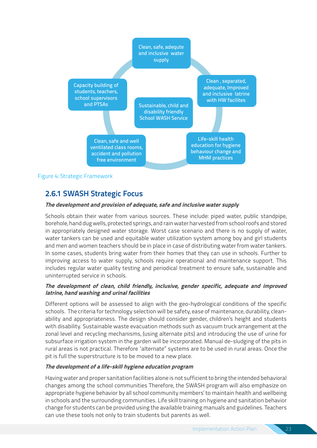

Figure 4: Strategic Framework

#### **2.6.1 SWASH Strategic Focus**

#### **The development and provision of adequate, safe and inclusive water supply**

Schools obtain their water from various sources. These include: piped water, public standpipe, borehole, hand dug wells, protected springs, and rain water harvested from school roofs and stored in appropriately designed water storage. Worst case scenario and there is no supply of water, water tankers can be used and equitable water utilization system among boy and girl students and men and women teachers should be in place in case of distributing water from water tankers. In some cases, students bring water from their homes that they can use in schools. Further to improving access to water supply, schools require operational and maintenance support. This includes regular water quality testing and periodical treatment to ensure safe, sustainable and uninterrupted service in schools.

#### **The development of clean, child friendly, inclusive, gender specific, adequate and improved latrine, hand washing and urinal facilities**

Different options will be assessed to align with the geo-hydrological conditions of the specific schools. The criteria for technology selection will be safety, ease of maintenance, durability, cleanability and appropriateness. The design should consider gender, children's height and students with disability. Sustainable waste evacuation methods such as vacuum truck arrangement at the zonal level and recycling mechanisms, (using alternate pits) and introducing the use of urine for subsurface irrigation system in the garden will be incorporated. Manual de-sludging of the pits in rural areas is not practical. Therefore "alternate" systems are to be used in rural areas. Once the pit is full the superstructure is to be moved to a new place.

#### **The development of a life-skill hygiene education program**

Having water and proper sanitation facilities alone is not sufficient to bring the intended behavioral changes among the school communities Therefore, the SWASH program will also emphasize on appropriate hygiene behavior by all school community members' to maintain health and wellbeing in schools and the surrounding communities. Life skill training on hygiene and sanitation behavior change for students can be provided using the available training manuals and guidelines. Teachers can use these tools not only to train students but parents as well.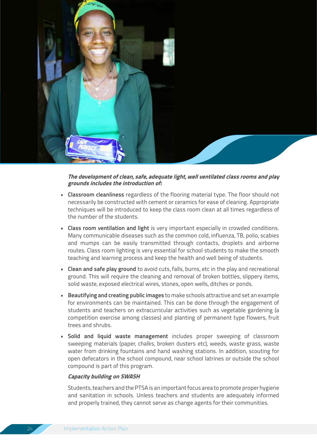

#### **The development of clean, safe, adequate light, well ventilated class rooms and play grounds includes the introduction of:**

- **• Classroom cleanliness** regardless of the flooring material type. The floor should not necessarily be constructed with cement or ceramics for ease of cleaning. Appropriate techniques will be introduced to keep the class room clean at all times regardless of the number of the students.
- **• Class room ventilation and light** is very important especially in crowded conditions. Many communicable diseases such as the common cold, influenza, TB, polio, scabies and mumps can be easily transmitted through contacts, droplets and airborne routes. Class room lighting is very essential for school students to make the smooth teaching and learning process and keep the health and well being of students.
- **• Clean and safe play ground** to avoid cuts, falls, burns, etc in the play and recreational ground. This will require the cleaning and removal of broken bottles, slippery items, solid waste, exposed electrical wires, stones, open wells, ditches or ponds.
- **• Beautifying and creating public images** to make schools attractive and set an example for environments can be maintained. This can be done through the engagement of students and teachers on extracurricular activities such as vegetable gardening (a competition exercise among classes) and planting of permanent type flowers, fruit trees and shrubs.
- **• Solid and liquid waste management** includes proper sweeping of classroom sweeping materials (paper, chalks, broken dusters etc), weeds, waste grass, waste water from drinking fountains and hand washing stations. In addition, scouting for open defecators in the school compound, near school latrines or outside the school compound is part of this program.

#### **Capacity building on SWASH**

Students, teachers and the PTSA is an important focus area to promote proper hygiene and sanitation in schools. Unless teachers and students are adequately informed and properly trained, they cannot serve as change agents for their communities.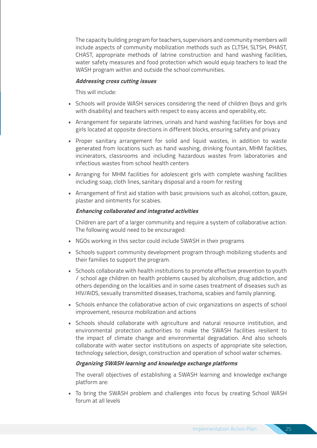The capacity building program for teachers, supervisors and community members will include aspects of community mobilization methods such as CLTSH, SLTSH, PHAST, CHAST, appropriate methods of latrine construction and hand washing facilities, water safety measures and food protection which would equip teachers to lead the WASH program within and outside the school communities.

#### **Addressing cross cutting issues**

This will include:

- Schools will provide WASH services considering the need of children (boys and girls with disability) and teachers with respect to easy access and operability, etc.
- Arrangement for separate latrines, urinals and hand washing facilities for boys and girls located at opposite directions in different blocks, ensuring safety and privacy
- Proper sanitary arrangement for solid and liquid wastes, in addition to waste generated from locations such as hand washing, drinking fountain, MHM facilities, incinerators, classrooms and including hazardous wastes from laboratories and infectious wastes from school health centers
- Arranging for MHM facilities for adolescent girls with complete washing facilities including soap, cloth lines, sanitary disposal and a room for resting
- Arrangement of first aid station with basic provisions such as alcohol, cotton, gauze, plaster and ointments for scabies.

#### **Enhancing collaborated and integrated activities**

Children are part of a larger community and require a system of collaborative action. The following would need to be encouraged:

- NGOs working in this sector could include SWASH in their programs
- Schools support community development program through mobilizing students and their families to support the program.
- Schools collaborate with health institutions to promote effective prevention to youth / school age children on health problems caused by alcoholism, drug addiction, and others depending on the localities and in some cases treatment of diseases such as HIV/AIDS, sexually transmitted diseases, trachoma, scabies and family planning.
- Schools enhance the collaborative action of civic organizations on aspects of school improvement, resource mobilization and actions
- Schools should collaborate with agriculture and natural resource institution, and environmental protection authorities to make the SWASH facilities resilient to the impact of climate change and environmental degradation. And also schools collaborate with water sector institutions on aspects of appropriate site selection, technology selection, design, construction and operation of school water schemes.

#### **Organizing SWASH learning and knowledge exchange platforms**

The overall objectives of establishing a SWASH learning and knowledge exchange platform are:

• To bring the SWASH problem and challenges into focus by creating School WASH forum at all levels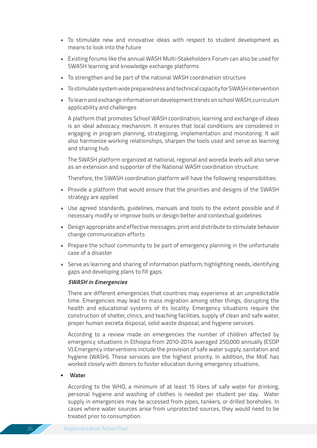- To stimulate new and innovative ideas with respect to student development as means to look into the future
- Existing forums like the annual WASH Multi-Stakeholders Forum can also be used for SWASH learning and knowledge exchange platforms
- To strengthen and be part of the national WASH coordination structure
- To stimulate system wide preparedness and technical capacity for SWASH intervention
- To learn and exchange information on development trends on school WASH, curriculum applicability and challenges

A platform that promotes School WASH coordination, learning and exchange of ideas is an ideal advocacy mechanism. It ensures that local conditions are considered in engaging in program planning, strategizing, implementation and monitoring. It will also harmonize working relationships, sharpen the tools used and serve as learning and sharing hub.

The SWASH platform organized at national, regional and woreda levels will also serve as an extension and supporter of the National WASH coordination structure.

Therefore, the SWASH coordination platform will have the following responsibilities:

- Provide a platform that would ensure that the priorities and designs of the SWASH strategy are applied
- Use agreed standards, guidelines, manuals and tools to the extent possible and if necessary modify or improve tools or design better and contextual guidelines
- Design appropriate and effective messages, print and distribute to stimulate behavior change communication efforts
- Prepare the school community to be part of emergency planning in the unfortunate case of a disaster
- Serve as learning and sharing of information platform; highlighting needs, identifying gaps and developing plans to fill gaps.

#### **SWASH in Emergencies**

There are different emergencies that countries may experience at an unpredictable time. Emergencies may lead to mass migration among other things, disrupting the health and educational systems of its locality. Emergency situations require the construction of shelter, clinics, and teaching facilities, supply of clean and safe water, proper human excreta disposal, solid waste disposal, and hygiene services.

According to a review made on emergencies the number of children affected by emergency situations in Ethiopia from 2010-2014 averaged 250,000 annually (ESDP V).Emergency interventions include the provision of safe water supply, sanitation and hygiene (WASH). These services are the highest priority. In addition, the MoE has worked closely with donors to foster education during emergency situations.

#### • **Water**

According to the WHO, a minimum of at least 15 liters of safe water for drinking, personal hygiene and washing of clothes is needed per student per day. Water supply in emergencies may be accessed from pipes, tankers, or drilled boreholes. In cases where water sources arise from unprotected sources, they would need to be treated prior to consumption.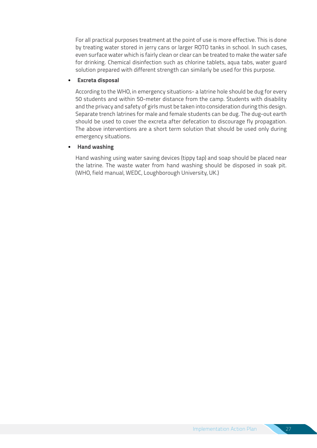For all practical purposes treatment at the point of use is more effective. This is done by treating water stored in jerry cans or larger ROTO tanks in school. In such cases, even surface water which is fairly clean or clear can be treated to make the water safe for drinking. Chemical disinfection such as chlorine tablets, aqua tabs, water guard solution prepared with different strength can similarly be used for this purpose.

#### • **Excreta disposal**

According to the WHO, in emergency situations- a latrine hole should be dug for every 50 students and within 50-meter distance from the camp. Students with disability and the privacy and safety of girls must be taken into consideration during this design. Separate trench latrines for male and female students can be dug. The dug-out earth should be used to cover the excreta after defecation to discourage fly propagation. The above interventions are a short term solution that should be used only during emergency situations.

#### • **Hand washing**

Hand washing using water saving devices (tippy tap) and soap should be placed near the latrine. The waste water from hand washing should be disposed in soak pit. (WHO, field manual, WEDC, Loughborough University, UK.)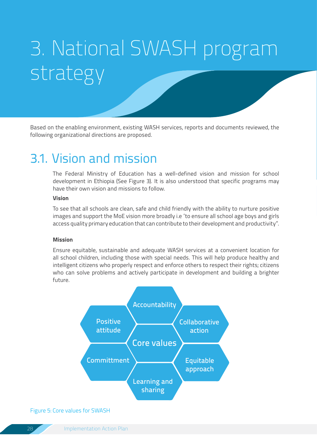# 3. National SWASH program strategy

Based on the enabling environment, existing WASH services, reports and documents reviewed, the following organizational directions are proposed.

### 3.1. Vision and mission

The Federal Ministry of Education has a well-defined vision and mission for school development in Ethiopia (See Figure 3). It is also understood that specific programs may have their own vision and missions to follow.

#### **Vision**

To see that all schools are clean, safe and child friendly with the ability to nurture positive images and support the MoE vision more broadly i.e "to ensure all school age boys and girls access quality primary education that can contribute to their development and productivity".

#### **Mission**

Ensure equitable, sustainable and adequate WASH services at a convenient location for all school children, including those with special needs. This will help produce healthy and intelligent citizens who properly respect and enforce others to respect their rights; citizens who can solve problems and actively participate in development and building a brighter future.



#### Figure 5: Core values for SWASH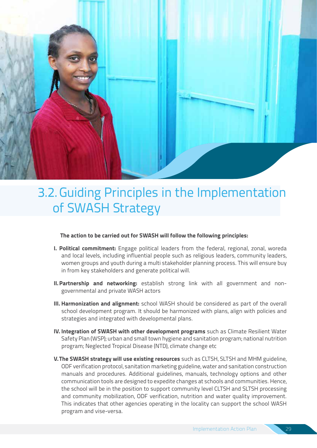

### 3.2.Guiding Principles in the Implementation of SWASH Strategy

#### **The action to be carried out for SWASH will follow the following principles:**

- **I. Political commitment:** Engage political leaders from the federal, regional, zonal, woreda and local levels, including influential people such as religious leaders, community leaders, women groups and youth during a multi stakeholder planning process. This will ensure buy in from key stakeholders and generate political will.
- **II.Partnership and networking:** establish strong link with all government and nongovernmental and private WASH actors
- **III. Harmonization and alignment:** school WASH should be considered as part of the overall school development program. It should be harmonized with plans, align with policies and strategies and integrated with developmental plans.
- **IV. Integration of SWASH with other development programs** such as Climate Resilient Water Safety Plan (WSP); urban and small town hygiene and sanitation program; national nutrition program; Neglected Tropical Disease (NTD), climate change etc
- **V.The SWASH strategy will use existing resources** such as CLTSH, SLTSH and MHM guideline, ODF verification protocol, sanitation marketing guideline, water and sanitation construction manuals and procedures. Additional guidelines, manuals, technology options and other communication tools are designed to expedite changes at schools and communities. Hence, the school will be in the position to support community level CLTSH and SLTSH processing and community mobilization, ODF verification, nutrition and water quality improvement. This indicates that other agencies operating in the locality can support the school WASH program and vise-versa.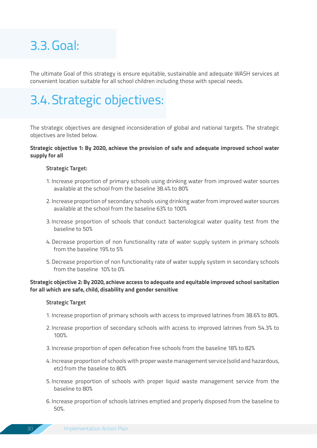### 3.3.Goal:

The ultimate Goal of this strategy is ensure equitable, sustainable and adequate WASH services at convenient location suitable for all school children including those with special needs.

### 3.4.Strategic objectives:

The strategic objectives are designed inconsideration of global and national targets. The strategic objectives are listed below.

#### **Strategic objective 1: By 2020, achieve the provision of safe and adequate improved school water supply for all**

#### **Strategic Target:**

- 1. Increase proportion of primary schools using drinking water from improved water sources available at the school from the baseline 38.4% to 80%
- 2. Increase proportion of secondary schools using drinking water from improved water sources available at the school from the baseline 63% to 100%
- 3. Increase proportion of schools that conduct bacteriological water quality test from the baseline to 50%
- 4.Decrease proportion of non functionality rate of water supply system in primary schools from the baseline 19% to 5%
- 5.Decrease proportion of non functionality rate of water supply system in secondary schools from the baseline 10% to 0%

#### **Strategic objective 2: By 2020, achieve access to adequate and equitable improved school sanitation for all which are safe, child, disability and gender sensitive**

#### **Strategic Target**

- 1. Increase proportion of primary schools with access to improved latrines from 38.6% to 80%.
- 2. Increase proportion of secondary schools with access to improved latrines from 54.3% to 100%.
- 3. Increase proportion of open defecation free schools from the baseline 18% to 82%
- 4. Increase proportion of schools with proper waste management service (solid and hazardous, etc) from the baseline to 80%
- 5. Increase proportion of schools with proper liquid waste management service from the baseline to 80%
- 6. Increase proportion of schools latrines emptied and properly disposed from the baseline to 50%.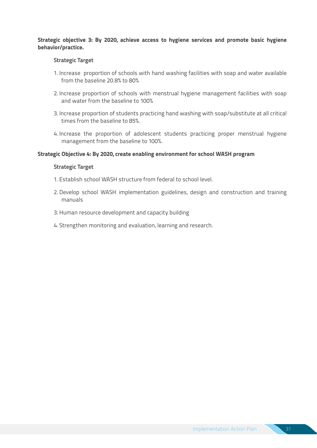#### **Strategic objective 3: By 2020, achieve access to hygiene services and promote basic hygiene behavior/practice.**

#### **Strategic Target**

- 1. Increase proportion of schools with hand washing facilities with soap and water available from the baseline 20.8% to 80%
- 2. Increase proportion of schools with menstrual hygiene management facilities with soap and water from the baseline to 100%
- 3. Increase proportion of students practicing hand washing with soap/substitute at all critical times from the baseline to 85%.
- 4. Increase the proportion of adolescent students practicing proper menstrual hygiene management from the baseline to 100%.

#### **Strategic Objective 4: By 2020, create enabling environment for school WASH program**

#### **Strategic Target**

- 1. Establish school WASH structure from federal to school level.
- 2. Develop school WASH implementation guidelines, design and construction and training manuals
- 3.Human resource development and capacity building
- 4. Strengthen monitoring and evaluation, learning and research.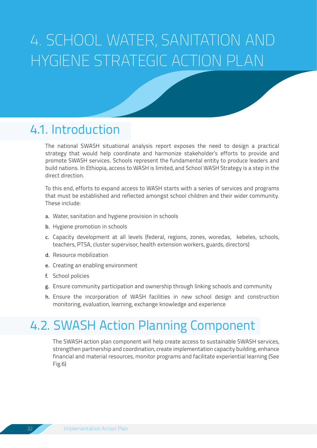# 4. SCHOOL WATER, SANITATION AND HYGIENE STRATEGIC ACTION PLAN

### 4.1. Introduction

The national SWASH situational analysis report exposes the need to design a practical strategy that would help coordinate and harmonize stakeholder's efforts to provide and promote SWASH services. Schools represent the fundamental entity to produce leaders and build nations. In Ethiopia, access to WASH is limited, and School WASH Strategy is a step in the direct direction.

To this end, efforts to expand access to WASH starts with a series of services and programs that must be established and reflected amongst school children and their wider community. These include:

- a. Water, sanitation and hygiene provision in schools
- b. Hygiene promotion in schools
- c. Capacity development at all levels (federal, regions, zones, woredas, kebeles, schools, teachers, PTSA, cluster supervisor, health extension workers, guards, directors)
- d. Resource mobilization
- e. Creating an enabling environment
- f. School policies
- g. Ensure community participation and ownership through linking schools and community
- h. Ensure the incorporation of WASH facilities in new school design and construction monitoring, evaluation, learning, exchange knowledge and experience

### 4.2. SWASH Action Planning Component

The SWASH action plan component will help create access to sustainable SWASH services, strengthen partnership and coordination, create implementation capacity building, enhance financial and material resources, monitor programs and facilitate experiential learning (See Fig.6)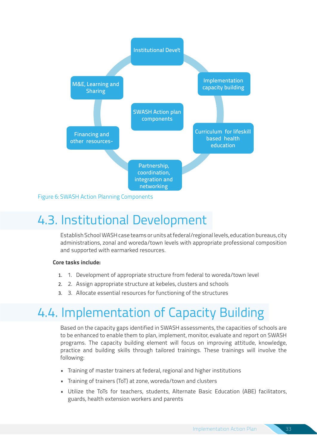

Figure 6: SWASH Action Planning Components

### 4.3. Institutional Development

Establish School WASH case teams or units at federal/regional levels, education bureaus, city administrations, zonal and woreda/town levels with appropriate professional composition and supported with earmarked resources.

#### **Core tasks include:**

- 1. 1. Development of appropriate structure from federal to woreda/town level
- 2. 2. Assign appropriate structure at kebeles, clusters and schools
- 3. 3. Allocate essential resources for functioning of the structures

### 4.4. Implementation of Capacity Building

Based on the capacity gaps identified in SWASH assessments, the capacities of schools are to be enhanced to enable them to plan, implement, monitor, evaluate and report on SWASH programs. The capacity building element will focus on improving attitude, knowledge, practice and building skills through tailored trainings. These trainings will involve the following:

- Training of master trainers at federal, regional and higher institutions
- Training of trainers (ToT) at zone, woreda/town and clusters
- Utilize the ToTs for teachers, students, Alternate Basic Education (ABE) facilitators, guards, health extension workers and parents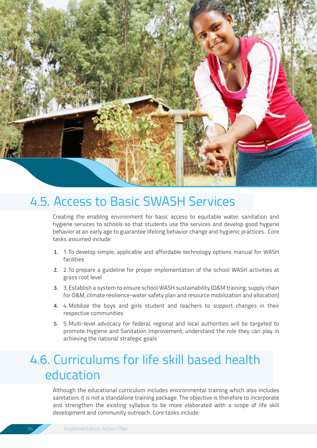

### 4.5. Access to Basic SWASH Services

Creating the enabling environment for basic access to equitable water, sanitation and hygiene services to schools so that students use the services and develop good hygiene behavior at an early age to guarantee lifelong behavior change and hygienic practices. Core tasks assumed include:

- 1. 1. To develop simple, applicable and affordable technology options manual for WASH facilities
- 2. 2.To prepare a guideline for proper implementation of the school WASH activities at grass root level
- 3. 3.Establish a system to ensure school WASH sustainability (O&M training, supply chain for O&M, climate resilience-water safety plan and resource mobilization and allocation)
- 4. 4.Mobilize the boys and girls student and teachers to support changes in their respective communities
- 5. 5.Multi-level advocacy for federal, regional and local authorities will be targeted to promote Hygiene and Sanitation Improvement, understand the role they can play in achieving the national strategic goals

### 4.6. Curriculums for life skill based health education

Although the educational curriculum includes environmental training which also includes sanitation; it is not a standalone training package. The objective is therefore to incorporate and strengthen the existing syllabus to be more elaborated with a scope of life skill development and community outreach. Core tasks include: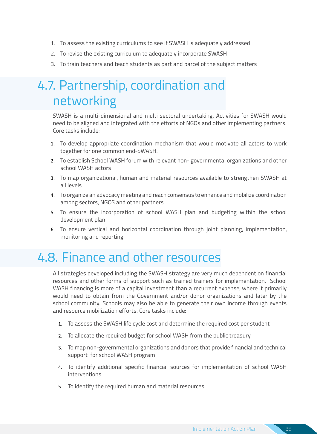- 1. To assess the existing curriculums to see if SWASH is adequately addressed
- 2. To revise the existing curriculum to adequately incorporate SWASH
- 3. To train teachers and teach students as part and parcel of the subject matters

### 4.7. Partnership, coordination and networking

SWASH is a multi-dimensional and multi sectoral undertaking. Activities for SWASH would need to be aligned and integrated with the efforts of NGOs and other implementing partners. Core tasks include:

- 1. To develop appropriate coordination mechanism that would motivate all actors to work together for one common end-SWASH.
- 2. To establish School WASH forum with relevant non- governmental organizations and other school WASH actors
- 3. To map organizational, human and material resources available to strengthen SWASH at all levels
- 4. To organize an advocacy meeting and reach consensus to enhance and mobilize coordination among sectors, NGOS and other partners
- 5. To ensure the incorporation of school WASH plan and budgeting within the school development plan
- 6. To ensure vertical and horizontal coordination through joint planning, implementation, monitoring and reporting

### 4.8. Finance and other resources

All strategies developed including the SWASH strategy are very much dependent on financial resources and other forms of support such as trained trainers for implementation. School WASH financing is more of a capital investment than a recurrent expense, where it primarily would need to obtain from the Government and/or donor organizations and later by the school community. Schools may also be able to generate their own income through events and resource mobilization efforts. Core tasks include:

- 1. To assess the SWASH life cycle cost and determine the required cost per student
- 2. To allocate the required budget for school WASH from the public treasury
- 3. To map non-governmental organizations and donors that provide financial and technical support for school WASH program
- 4. To identify additional specific financial sources for implementation of school WASH interventions
- 5. To identify the required human and material resources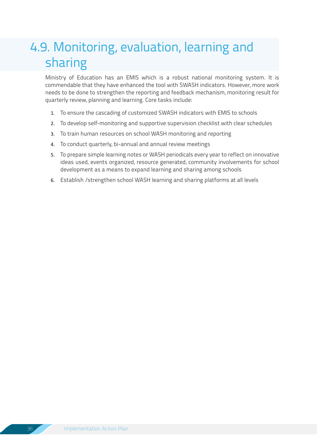### 4.9. Monitoring, evaluation, learning and sharing

Ministry of Education has an EMIS which is a robust national monitoring system. It is commendable that they have enhanced the tool with SWASH indicators. However, more work needs to be done to strengthen the reporting and feedback mechanism, monitoring result for quarterly review, planning and learning. Core tasks include:

- 1. To ensure the cascading of customized SWASH indicators with EMIS to schools
- 2. To develop self-monitoring and supportive supervision checklist with clear schedules
- 3. To train human resources on school WASH monitoring and reporting
- 4. To conduct quarterly, bi-annual and annual review meetings
- 5. To prepare simple learning notes or WASH periodicals every year to reflect on innovative ideas used, events organized, resource generated, community involvements for school development as a means to expand learning and sharing among schools
- 6. Establish /strengthen school WASH learning and sharing platforms at all levels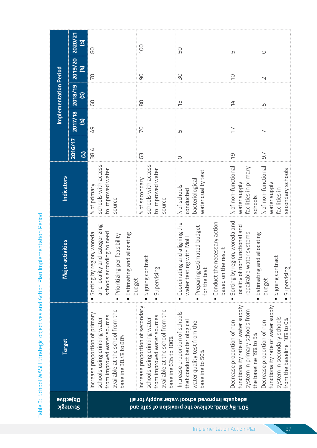| ֖֖֖֧ׅ֧ׅ֧֧֪ׅ֧֧֧֧֚֚֚֚֚֚֚֚֚֚֚֚֚֚֚֚֚֚֚֚֚֚֚֚֚֚֚֬֝֝֓֞֡֡֓֞֡֡֓֬֝֓֞֝֬֓֓֞֝֓֞֞֝֬֓֞֝֬֝֓֞֝֬֝֬֝֬֝֬֝                       |
|-------------------------------------------------------------------------------------------------------------|
|                                                                                                             |
|                                                                                                             |
|                                                                                                             |
|                                                                                                             |
|                                                                                                             |
|                                                                                                             |
|                                                                                                             |
|                                                                                                             |
|                                                                                                             |
|                                                                                                             |
|                                                                                                             |
| <b>アクシュニュロニュロー とうこう とうこう アクシュー とうこうしょう アクシュリー こうしょう しょうしょう アクセス</b><br>ニニュゴニュニンコリニン フニゴ ハリッシノリン リュリンゴンゴン ニュ |
|                                                                                                             |
|                                                                                                             |
|                                                                                                             |
|                                                                                                             |
|                                                                                                             |
|                                                                                                             |
|                                                                                                             |
|                                                                                                             |
|                                                                                                             |
|                                                                                                             |
|                                                                                                             |
|                                                                                                             |
|                                                                                                             |
|                                                                                                             |
|                                                                                                             |
|                                                                                                             |
|                                                                                                             |
|                                                                                                             |
|                                                                                                             |
|                                                                                                             |
|                                                                                                             |
|                                                                                                             |
|                                                                                                             |
|                                                                                                             |
| ť                                                                                                           |
|                                                                                                             |
|                                                                                                             |

|                                                                                                                                                                                                                                       | 2020/21<br>$\mathcal{E}$          |                                                                                                                                                            | 100                                                                                                                                                              |                                                                                                                            |                                                                                                                              |                                                                                                                                |
|---------------------------------------------------------------------------------------------------------------------------------------------------------------------------------------------------------------------------------------|-----------------------------------|------------------------------------------------------------------------------------------------------------------------------------------------------------|------------------------------------------------------------------------------------------------------------------------------------------------------------------|----------------------------------------------------------------------------------------------------------------------------|------------------------------------------------------------------------------------------------------------------------------|--------------------------------------------------------------------------------------------------------------------------------|
|                                                                                                                                                                                                                                       | 2019/20<br>$\mathbf{\mathcal{E}}$ | 80                                                                                                                                                         |                                                                                                                                                                  | 50                                                                                                                         | S                                                                                                                            | $\circ$                                                                                                                        |
|                                                                                                                                                                                                                                       |                                   | P <sub>2</sub>                                                                                                                                             | 90                                                                                                                                                               | œ                                                                                                                          | $\supseteq$                                                                                                                  | $\sim$                                                                                                                         |
| <b>Implementation Period</b>                                                                                                                                                                                                          | 2018/19<br>$\mathbf{\mathcal{E}}$ | 60                                                                                                                                                         | 80                                                                                                                                                               | $\overline{5}$                                                                                                             | 与                                                                                                                            | LN                                                                                                                             |
|                                                                                                                                                                                                                                       | 2017/18<br>$\mathbf{\mathcal{E}}$ | GT                                                                                                                                                         | <b>P</b>                                                                                                                                                         | LN                                                                                                                         | $\overline{\overline{C}}$                                                                                                    | $\overline{ }$                                                                                                                 |
|                                                                                                                                                                                                                                       | 2016/17<br>$\infty$               | 38.4                                                                                                                                                       | යි                                                                                                                                                               | $\circ$                                                                                                                    | $\overline{C}$                                                                                                               | 9.7                                                                                                                            |
| <b>Indicators</b>                                                                                                                                                                                                                     |                                   | schools with access<br>to improved water<br>% of primary<br>source                                                                                         | schools with access<br>to improved water<br>% of secondary<br>source                                                                                             | water quality test<br>bacteriological<br>% of schools<br>conducted                                                         | % of non-functional<br>facilities in primary<br>water supply<br>schools                                                      | % of non-functional<br>secondary schools<br>water supply<br>facilities in                                                      |
| and categorizing<br>schools according to need<br>Sorting by region, woreda<br>and allocating<br>Prioritizing per feasibility<br><b>ractivities</b><br>Signing contract<br>Majo<br>and locality<br>Supervising<br>Estimating<br>budget |                                   | $\blacksquare$                                                                                                                                             | Conduct the necessary action<br>Coordinating and aligning the<br>Preparing estimated budget<br>water testing with MoH<br>e result<br>for the test<br>based on th | Sorting by region, woreda and<br>locality of nonfunctional and<br>repairable water systems<br>and allocating<br>Estimating | Signing contract<br>Supervising<br>budget                                                                                    |                                                                                                                                |
| <b>Target</b>                                                                                                                                                                                                                         |                                   | available at the school from the<br>Increase proportion of primary<br>from improved water sources<br>schools using drinking water<br>baseline 38.4% to 80% | Increase proportion of secondary<br>available at the school from the<br>from improved water sources<br>schools using drinking water<br>baseline 63% to 100%      | Increase proportion of schools<br>that conduct bacteriological<br>water quality test from the<br>baseline to 50%           | functionality rate of water supply<br>system in primary schools from<br>Decrease proportion of non<br>the baseline 19% to 5% | functionality rate of water supply<br>system in secondary schools<br>from the baseline 10% to 0%<br>Decrease proportion of non |
| <b>Objective</b><br>Strategic                                                                                                                                                                                                         |                                   | adequate improved school water supply for all<br>SO1. By 2020, achieve the provision of safe and                                                           |                                                                                                                                                                  |                                                                                                                            |                                                                                                                              |                                                                                                                                |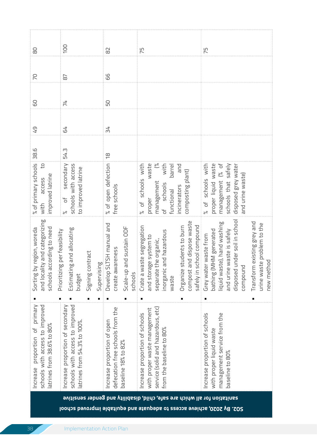| 99<br>PO<br>$\overline{\circ}$<br>50<br>60<br>74<br>54<br>54<br>GT<br>38.6<br>54.3<br>$\overset{\infty}{\rightarrow}$<br>% of primary schools<br>$\binom{6}{6}$<br>$\overline{c}$<br>% of open defection<br>schools with access<br>waste<br>proper liquid waste<br>management (% of<br>secondary<br>% of schools with<br>with<br>% of schools with<br>barrel<br>and<br>disposed grey waten<br>schools that safely<br>to improved latrine<br>composting plant)<br>and urine waste)<br>improved latrine<br>access<br>management<br>of schools<br>free schools<br>incinerators<br>functional<br>ð<br>proper<br>i with<br>$\approx$<br>ity and categorizing<br>disposed under soil in school<br>and dispose waste<br>liquid waste), hand washing<br>Transform existing grey and<br>urine waste problem to the<br>Develop SLTSH manual and<br>school compound<br>aste segregation<br>students to burn<br>and sustain ODF<br>schools according to need<br>Sorting by region, woreda<br>gand allocating<br>bathing (MHM generated<br>and urine waste is safely<br>Ig per feasibility<br>and hazardous<br>Grey water waste from<br>and storage system to<br>the organic,<br>create awareness<br>Signing contract<br>pod<br>Supervising<br>ヮ<br>Prioritizir<br>Crate a w<br>separate<br>norganic<br>Organize<br>compoun<br>compost<br>and local<br>Estimatir<br>new met<br>Scale-up<br>safely in<br>schools<br>budget<br>waste<br>primary<br>schools with access to improved<br>schools with access to improved<br>Increase proportion of secondary<br>defecation free schools from the<br>service (solid and hazardous, etc)<br>with proper waste management<br>Increase proportion of schools<br>Increase proportion of schools<br>management service from the<br>Increase proportion of open<br>atrines from 54.3% to 100%<br>atrines from 38.6% to 80%<br>proportion of<br>from the baseline to 80%<br>with proper liquid waste<br>baseline 18% to 82%<br>baseline to 80%<br>Increase | 8 | 100 | 82 | 75 | 75 |
|----------------------------------------------------------------------------------------------------------------------------------------------------------------------------------------------------------------------------------------------------------------------------------------------------------------------------------------------------------------------------------------------------------------------------------------------------------------------------------------------------------------------------------------------------------------------------------------------------------------------------------------------------------------------------------------------------------------------------------------------------------------------------------------------------------------------------------------------------------------------------------------------------------------------------------------------------------------------------------------------------------------------------------------------------------------------------------------------------------------------------------------------------------------------------------------------------------------------------------------------------------------------------------------------------------------------------------------------------------------------------------------------------------------------------------------------------------------------------------------------------------------------------------------------------------------------------------------------------------------------------------------------------------------------------------------------------------------------------------------------------------------------------------------------------------------------------------------------------------------------------------------------------------------------------------------------------------------------------------|---|-----|----|----|----|
|                                                                                                                                                                                                                                                                                                                                                                                                                                                                                                                                                                                                                                                                                                                                                                                                                                                                                                                                                                                                                                                                                                                                                                                                                                                                                                                                                                                                                                                                                                                                                                                                                                                                                                                                                                                                                                                                                                                                                                                  |   |     |    |    |    |
|                                                                                                                                                                                                                                                                                                                                                                                                                                                                                                                                                                                                                                                                                                                                                                                                                                                                                                                                                                                                                                                                                                                                                                                                                                                                                                                                                                                                                                                                                                                                                                                                                                                                                                                                                                                                                                                                                                                                                                                  |   |     |    |    |    |
|                                                                                                                                                                                                                                                                                                                                                                                                                                                                                                                                                                                                                                                                                                                                                                                                                                                                                                                                                                                                                                                                                                                                                                                                                                                                                                                                                                                                                                                                                                                                                                                                                                                                                                                                                                                                                                                                                                                                                                                  |   |     |    |    |    |
|                                                                                                                                                                                                                                                                                                                                                                                                                                                                                                                                                                                                                                                                                                                                                                                                                                                                                                                                                                                                                                                                                                                                                                                                                                                                                                                                                                                                                                                                                                                                                                                                                                                                                                                                                                                                                                                                                                                                                                                  |   |     |    |    |    |
|                                                                                                                                                                                                                                                                                                                                                                                                                                                                                                                                                                                                                                                                                                                                                                                                                                                                                                                                                                                                                                                                                                                                                                                                                                                                                                                                                                                                                                                                                                                                                                                                                                                                                                                                                                                                                                                                                                                                                                                  |   |     |    |    |    |
|                                                                                                                                                                                                                                                                                                                                                                                                                                                                                                                                                                                                                                                                                                                                                                                                                                                                                                                                                                                                                                                                                                                                                                                                                                                                                                                                                                                                                                                                                                                                                                                                                                                                                                                                                                                                                                                                                                                                                                                  |   |     |    |    |    |
|                                                                                                                                                                                                                                                                                                                                                                                                                                                                                                                                                                                                                                                                                                                                                                                                                                                                                                                                                                                                                                                                                                                                                                                                                                                                                                                                                                                                                                                                                                                                                                                                                                                                                                                                                                                                                                                                                                                                                                                  |   |     |    |    |    |

**SO2. By 2020, achieve access to adequate and equitable improved school**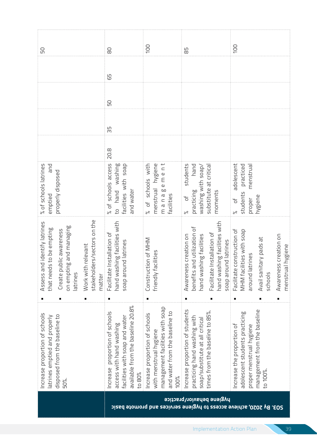| 50                                                                                                                                                                                            | 80                                                                                                                                                  | 100                                                                                                                                   | 59                                                                                                                                                                           | 100                                                                                                                                                              |
|-----------------------------------------------------------------------------------------------------------------------------------------------------------------------------------------------|-----------------------------------------------------------------------------------------------------------------------------------------------------|---------------------------------------------------------------------------------------------------------------------------------------|------------------------------------------------------------------------------------------------------------------------------------------------------------------------------|------------------------------------------------------------------------------------------------------------------------------------------------------------------|
|                                                                                                                                                                                               | 59                                                                                                                                                  |                                                                                                                                       |                                                                                                                                                                              |                                                                                                                                                                  |
|                                                                                                                                                                                               | 50                                                                                                                                                  |                                                                                                                                       |                                                                                                                                                                              |                                                                                                                                                                  |
|                                                                                                                                                                                               | 55                                                                                                                                                  |                                                                                                                                       |                                                                                                                                                                              |                                                                                                                                                                  |
|                                                                                                                                                                                               | 20.8                                                                                                                                                |                                                                                                                                       |                                                                                                                                                                              |                                                                                                                                                                  |
| % of schools latrines<br>pue<br>properly disposed<br>emptied                                                                                                                                  | % of schools access<br>washing<br>acilities with soap<br>and water<br>hand<br>p<br>D                                                                | hygiene<br>ement<br>of schools with<br>menstrual<br>manag<br><b>Facilities</b>                                                        | students<br>hand<br>substitute at critica<br>washing with soap,<br>practicing<br>moments<br>$\overline{0}$<br>ಸ                                                              | adolescent<br>practiced<br>menstrua<br>students<br>hygiene<br>proper<br>ď                                                                                        |
| ders/sectors on the<br>Assess and identify latrines<br>on empting and managing<br>that needs to be empting<br>Create public awareness<br>Work with relevant<br>stakehol<br>latrines<br>matter | hand washing facilities with<br>Facilitate Installation of<br>soap around latrines                                                                  | Construction of MHM<br>acilities<br>friendly f                                                                                        | hand washing facilities with<br>and utilization of<br>Facilitate Installation of<br>shing facilities<br>Awareness creation on<br>soap around latrines<br>benefits<br>hand wa | Facilitate construction of<br>MHM facilities with soap<br>Awareness creation on<br>Avail sanitary pads at<br>al hygiene<br>around latrines<br>menstru<br>schools |
| п<br>٠<br>Increase proportion of schools<br>disposed from the baseline to<br>atrines emptied and properly<br>50%.                                                                             | п<br>available from the baseline 20.8%<br>Increase proportion of schools<br>facilities with soap and water<br>access with hand washing<br>to $80\%$ | management facilities with soap<br>and water from the baseline to<br>Increase proportion of schools<br>with menstrual hygiene<br>100% | Increase proportion of students<br>times from the baseline to 85%.<br>practicing hand washing with<br>soap/substitute at all critical                                        | ٠<br>management from the baseline<br>adolescent students practicing<br>Increase the proportion of<br>proper menstrual hygiene<br>to 100%                         |
|                                                                                                                                                                                               |                                                                                                                                                     |                                                                                                                                       | hygiene behavior/practice<br>By 2020, achieve access to hygiene services and promote basic                                                                                   | 505'                                                                                                                                                             |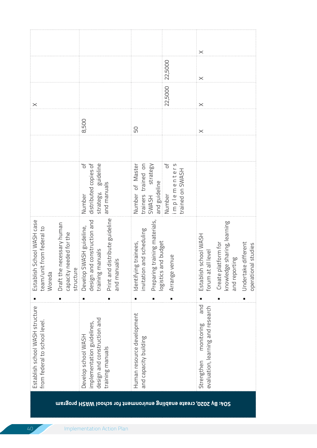| Establish school WASH structure<br>design and construction and<br>from federal to school level.<br>implementation guidelines,<br>Develop school WASH<br>training manuals |   | distribute guideline<br>design and construction and<br>School WASH case<br>necessary human<br>Develop SWASH guideline,<br>team/unit from federal to<br>capacity needed for the<br>training manuals<br>Establish<br>Draft the<br>structure<br>Print and<br>Woreda | ď<br>distributed copies of<br>guideline<br>and manuals<br>strategy,<br>Number           | 8,500    | $\times$             |          |
|--------------------------------------------------------------------------------------------------------------------------------------------------------------------------|---|------------------------------------------------------------------------------------------------------------------------------------------------------------------------------------------------------------------------------------------------------------------|-----------------------------------------------------------------------------------------|----------|----------------------|----------|
| Human resource development<br>and capacity building                                                                                                                      |   | Preparing training materials,<br>and scheduling<br>logistics and budget<br>g trainees,<br>and manuals<br>Identifyin<br>invitation                                                                                                                                | Number of Master<br>trained on<br>strategy<br>and guideline<br>trainers<br><b>SWASH</b> | 50       |                      |          |
|                                                                                                                                                                          |   | enue<br>Arrange v                                                                                                                                                                                                                                                | ď<br>implementers<br>trained on SWASH<br>Number                                         |          | 22,5000<br>22,5000   |          |
| and<br>evaluation, learning and research<br>monitoring<br>Strengthen                                                                                                     | п | school WASH<br>Create platform for<br>all level<br>Establish<br>forum at                                                                                                                                                                                         |                                                                                         | $\times$ | $\times$<br>$\times$ | $\times$ |
|                                                                                                                                                                          |   | knowledge sharing, learning<br>and reporting                                                                                                                                                                                                                     |                                                                                         |          |                      |          |
|                                                                                                                                                                          |   | Undertake different<br>al studies<br>operation                                                                                                                                                                                                                   |                                                                                         |          |                      |          |

**SO4: By 2020, create enabling environment for school WASH program**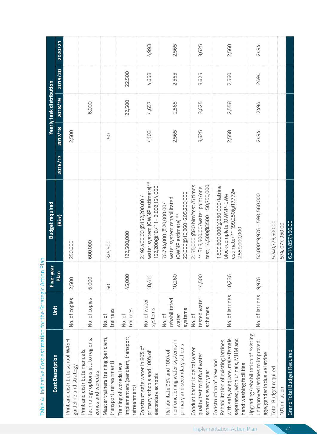| <b>Cost Description</b>                                                                                                                                           | Unit                                        | Five-year | <b>Budget required</b>                                                                                     |                |         | Yearly task distribution |         |         |
|-------------------------------------------------------------------------------------------------------------------------------------------------------------------|---------------------------------------------|-----------|------------------------------------------------------------------------------------------------------------|----------------|---------|--------------------------|---------|---------|
|                                                                                                                                                                   |                                             | Plan      | (Birr)                                                                                                     | <b>2016/17</b> | 2017/18 | 2018/19                  | 2019/20 | 2020/21 |
| Print and distribute school WASH<br>guideline and strategy                                                                                                        | No. of copies                               | 2,500     | 250,000                                                                                                    |                | 2,500   |                          |         |         |
| technology options etc to regions,<br>Print and distribute manuals,<br>zones and woredas                                                                          | No. of copies                               | 6,000     | 600,000                                                                                                    |                |         | 6,000                    |         |         |
| Master trainers training (per diem,<br>transport, refreshment)                                                                                                    | trainees<br>No. of                          | 50        | 325,500                                                                                                    |                | 50      |                          |         |         |
| implementers (per diem, transport,<br>Training of woreda level<br>refreshment)                                                                                    | trainees<br>No. of                          | 45,000    | 122,500,000                                                                                                |                |         | 22,500                   | 22,500  |         |
| Construct safe water in 80% of<br>primary schools and 100% of<br>secondary schools                                                                                | No. of water<br>systems                     | 18,411    | water system (OWNP estimate)**<br>152,200@18,411=2,802,154,000<br>2,192,400,00 @152,200.00                 |                | 4,103   | 4,657                    | 4,658   | 4,993   |
| nonfunctioning water systems in<br>primary and secondary schools<br>Rehabilitate 95% and 100% of                                                                  | rehabilitated<br>systems<br>No. of<br>water | 10,260    | 20,000@10,260=205,200,000<br>water system rehabilitated<br>76,734,000 @20,000.00/<br>(OWNP estimate) **    |                | 2,565   | 2,565                    | 2,565   | 2,565   |
| Conduct bacteriological water<br>quality test to 50% of water<br>schemes every year                                                                               | tested water<br>schemes<br>No. of           | 14,500    | 2,175,000 @30 birr/test/5 times<br>test, 14,500@3500 = 50,750,000<br>** Br.3,500.00/water point/one        |                | 3,625   | 3,625                    | 3,625   | 3,625   |
| separated, with urinals, MHM and<br>with safe, adequate, male/female<br>Rehabilitation of existing latrines<br>Construction of new and<br>hand washing facilities | No. of latrines                             | 10,236    | 1,809,600,000@250,000/latrine<br>estimate) ** 199,250@17,772=<br>block complete (OWNP-CWA<br>2,559,000,000 |                | 2,558   | 2,558                    | 2,560   | 2,560   |
| Upgrading/rehabilitation of existing<br>unimproved latrines to improved<br>age, gender inclusive latrine                                                          | No. of latrines                             | 9,976     | 50,000*9,976 = 598,560,000                                                                                 |                | 7672    | 7672                     | 7672    | 7672    |
| <b>Total Budget required</b>                                                                                                                                      |                                             |           | 5,740,779,500.00                                                                                           |                |         |                          |         |         |
| 10% inflation                                                                                                                                                     |                                             |           | 574,077,950.00                                                                                             |                |         |                          |         |         |
| Grand Total Budget Required                                                                                                                                       |                                             |           | 6,314,857,450.00                                                                                           |                |         |                          |         |         |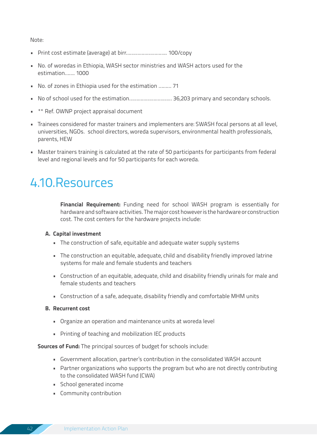Note:

- Print cost estimate (average) at birr……………………….. 100/copy
- No. of woredas in Ethiopia, WASH sector ministries and WASH actors used for the estimation……. 1000
- No. of zones in Ethiopia used for the estimation ……… 71
- No of school used for the estimation………………………… 36,203 primary and secondary schools.
- \*\* Ref. OWNP project appraisal document
- Trainees considered for master trainers and implementers are: SWASH focal persons at all level, universities, NGOs. school directors, woreda supervisors, environmental health professionals, parents, HEW
- Master trainers training is calculated at the rate of 50 participants for participants from federal level and regional levels and for 50 participants for each woreda.

### 4.10.Resources

**Financial Requirement:** Funding need for school WASH program is essentially for hardware and software activities. The major cost however is the hardware or construction cost. The cost centers for the hardware projects include:

#### **A. Capital investment**

- The construction of safe, equitable and adequate water supply systems
- The construction an equitable, adequate, child and disability friendly improved latrine systems for male and female students and teachers
- Construction of an equitable, adequate, child and disability friendly urinals for male and female students and teachers
- Construction of a safe, adequate, disability friendly and comfortable MHM units

#### **B. Recurrent cost**

- Organize an operation and maintenance units at woreda level
- Printing of teaching and mobilization IEC products

**Sources of Fund:** The principal sources of budget for schools include:

- Government allocation, partner's contribution in the consolidated WASH account
- Partner organizations who supports the program but who are not directly contributing to the consolidated WASH fund (CWA)
- School generated income
- Community contribution

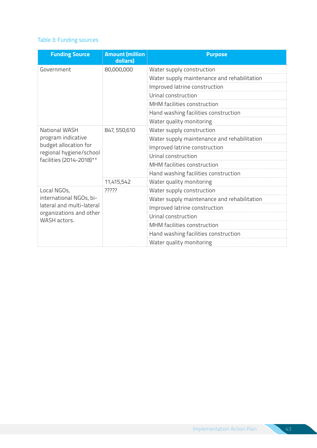#### Table 3: Funding sources

| <b>Funding Source</b>                                                  | <b>Amount (million</b><br>dollars) | <b>Purpose</b>                              |
|------------------------------------------------------------------------|------------------------------------|---------------------------------------------|
| Government                                                             | 80,000,000                         | Water supply construction                   |
|                                                                        |                                    | Water supply maintenance and rehabilitation |
|                                                                        |                                    | Improved latrine construction               |
|                                                                        |                                    | Urinal construction                         |
|                                                                        |                                    | MHM facilities construction                 |
|                                                                        |                                    | Hand washing facilities construction        |
|                                                                        |                                    | Water quality monitoring                    |
| <b>National WASH</b>                                                   | 847, 550, 610                      | Water supply construction                   |
| program indicative<br>budget allocation for<br>regional hygiene/school |                                    | Water supply maintenance and rehabilitation |
|                                                                        |                                    | Improved latrine construction               |
| facilities (2014-2018)**                                               |                                    | Urinal construction                         |
|                                                                        |                                    | MHM facilities construction                 |
|                                                                        |                                    | Hand washing facilities construction        |
|                                                                        | 11,415,542                         | Water quality monitoring                    |
| Local NGOs,                                                            | ?????                              | Water supply construction                   |
| international NGOs, bi-                                                |                                    | Water supply maintenance and rehabilitation |
| lateral and multi-lateral                                              |                                    | Improved latrine construction               |
| organizations and other<br>WASH actors.                                |                                    | Urinal construction                         |
|                                                                        |                                    | MHM facilities construction                 |
|                                                                        |                                    | Hand washing facilities construction        |
|                                                                        |                                    | Water quality monitoring                    |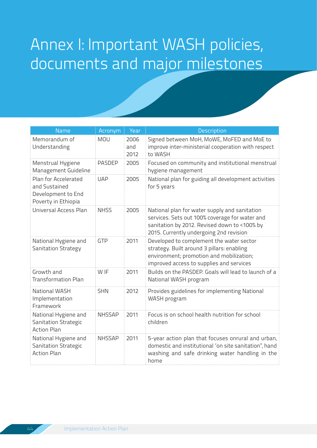# Annex I: Important WASH policies, documents and major milestones

| <b>Name</b>                                                                        | Acronym       | Year                | <b>Description</b>                                                                                                                                                                         |
|------------------------------------------------------------------------------------|---------------|---------------------|--------------------------------------------------------------------------------------------------------------------------------------------------------------------------------------------|
| Memorandum of<br>Understanding                                                     | <b>MOU</b>    | 2006<br>and<br>2012 | Signed between MoH, MoWE, MoFED and MoE to<br>improve inter-ministerial cooperation with respect<br>to WASH                                                                                |
| Menstrual Hygiene<br>Management Guideline                                          | <b>PASDEP</b> | 2005                | Focused on community and institutional menstrual<br>hygiene management                                                                                                                     |
| Plan for Accelerated<br>and Sustained<br>Development to End<br>Poverty in Ethiopia | <b>UAP</b>    | 2005                | National plan for guiding all development activities<br>for 5 years                                                                                                                        |
| Universal Access Plan                                                              | <b>NHSS</b>   | 2005                | National plan for water supply and sanitation<br>services. Sets out 100% coverage for water and<br>sanitation by 2012. Revised down to <100% by<br>2015. Currently undergoing 2nd revision |
| National Hygiene and<br><b>Sanitation Strategy</b>                                 | <b>GTP</b>    | 2011                | Developed to complement the water sector<br>strategy. Built around 3 pillars: enabling<br>environment; promotion and mobilization;<br>improved access to supplies and services             |
| Growth and<br><b>Transformation Plan</b>                                           | W IF          | 2011                | Builds on the PASDEP, Goals will lead to launch of a<br>National WASH program                                                                                                              |
| National WASH<br>Implementation<br>Framework                                       | <b>SHN</b>    | 2012                | Provides guidelines for implementing National<br>WASH program                                                                                                                              |
| National Hygiene and<br>Sanitation Strategic<br><b>Action Plan</b>                 | <b>NHSSAP</b> | 2011                | Focus is on school health nutrition for school<br>children                                                                                                                                 |
| National Hygiene and<br><b>Sanitation Strategic</b><br><b>Action Plan</b>          | <b>NHSSAP</b> | 2011                | 5-year action plan that focuses onrural and urban,<br>domestic and institutional 'on site sanitation", hand<br>washing and safe drinking water handling in the<br>home                     |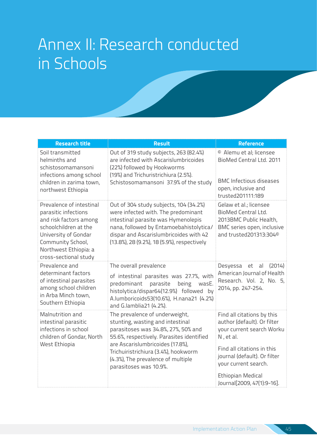## Annex II: Research conducted in Schools

| <b>Research title</b>                                                                                                                                                                              | <b>Result</b>                                                                                                                                                                                                                                                                                      | <b>Reference</b>                                                                                                                                                                                                                                    |
|----------------------------------------------------------------------------------------------------------------------------------------------------------------------------------------------------|----------------------------------------------------------------------------------------------------------------------------------------------------------------------------------------------------------------------------------------------------------------------------------------------------|-----------------------------------------------------------------------------------------------------------------------------------------------------------------------------------------------------------------------------------------------------|
| Soil transmitted<br>helminths and<br>schistosomamansoni<br>infections among school<br>children in zarima town,<br>northwest Ethiopia                                                               | Out of 319 study subjects, 263 (82.4%)<br>are infected with Ascarislumbricoides<br>(22%) followed by Hookworms<br>(19%) and Trichuristrichiura (2.5%).<br>Schistosomamansoni 37.9% of the study                                                                                                    | <sup>©</sup> Alemu et al; licensee<br>BioMed Central Ltd. 2011<br><b>BMC</b> Infectious diseases<br>open, inclusive and<br>trusted201111:189                                                                                                        |
| Prevalence of intestinal<br>parasitic infections<br>and risk factors among<br>schoolchildren at the<br>University of Gondar<br>Community School,<br>Northwest Ethiopia: a<br>cross-sectional study | Out of 304 study subjects, 104 (34.2%)<br>were infected with. The predominant<br>intestinal parasite was Hymenolepis<br>nana, followed by Entamoebahistolytica/<br>dispar and Ascarislumbricoides with 42<br>(13.8%), 28 (9.2%), 18 (5.9%), respectively                                           | Gelaw et al.; licensee<br>BioMed Central Ltd.<br>2013BMC Public Health,<br>BMC series open, inclusive<br>and trusted201313:304 <sup>©</sup>                                                                                                         |
| Prevalence and<br>determinant factors<br>of intestinal parasites<br>among school children<br>in Arba Minch town,<br>Southern Ethiopia                                                              | The overall prevalence<br>of intestinal parasites was 27.7%, with<br>predominant<br>parasite<br>being<br>wasE.<br>histolytica/dispar64(12.9%) followed by<br>A.lumboricoids53(10.6%), H.nana21 (4.2%)<br>and G.lamblia21 (4.2%).                                                                   | Desyessa<br>et<br>(2014)<br>al<br>American Journal of Health<br>Research. Vol. 2, No. 5,<br>2014, pp. 247-254.                                                                                                                                      |
| Malnutrition and<br>intestinal parasitic<br>infections in school<br>children of Gondar, North<br>West Ethiopia                                                                                     | The prevalence of underweight,<br>stunting, wasting and intestinal<br>parasitoses was 34.8%, 27%, 50% and<br>55.6%, respectively. Parasites identified<br>are Ascarislumbricoides (17.8%),<br>Trichuiristrichiura (3.4%), hookworm<br>(4.3%), The prevalence of multiple<br>parasitoses was 10.9%. | Find all citations by this<br>author (default). Or filter<br>your current search Worku<br>N, et al.<br>Find all citations in this<br>journal (default). Or filter<br>your current search.<br><b>Ethiopian Medical</b><br>Journal[2009, 47(1):9-16]. |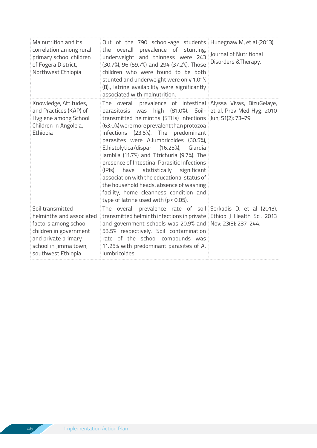| Malnutrition and its<br>correlation among rural<br>primary school children<br>of Fogera District,<br>Northwest Ethiopia                                              | Out of the 790 school-age students Hunegnaw M, et al (2013)<br>the overall prevalence of stunting,<br>underweight and thinness were 243<br>(30.7%), 96 (59.7%) and 294 (37.2%). Those<br>children who were found to be both<br>stunted and underweight were only 1.01%<br>(8)., latrine availability were significantly<br>associated with malnutrition.                                                                                                                                                                                                                                                                                                                                       | Journal of Nutritional<br>Disorders & Therapy. |
|----------------------------------------------------------------------------------------------------------------------------------------------------------------------|------------------------------------------------------------------------------------------------------------------------------------------------------------------------------------------------------------------------------------------------------------------------------------------------------------------------------------------------------------------------------------------------------------------------------------------------------------------------------------------------------------------------------------------------------------------------------------------------------------------------------------------------------------------------------------------------|------------------------------------------------|
| Knowledge, Attitudes,<br>and Practices (KAP) of<br>Hygiene among School<br>Children in Angolela,<br>Ethiopia                                                         | The overall prevalence of intestinal Alyssa Vivas, BizuGelaye,<br>parasitosis was high (81.0%). Soil- et al, Prev Med Hyg. 2010<br>transmitted helminths (STHs) infections Jun; 51(2): 73-79.<br>(63.0%) were more prevalent than protozoa<br>infections (23.5%). The predominant<br>parasites were A.lumbricoides (60.5%),<br>E.histolytica/dispar (16.25%),<br>Giardia<br>lamblia (11.7%) and T.trichuria (9.7%). The<br>presence of Intestinal Parasitic Infections<br>statistically significant<br>(IPIs) have<br>association with the educational status of<br>the household heads, absence of washing<br>facility, home cleanness condition and<br>type of latrine used with (p < 0.05). |                                                |
| Soil transmitted<br>helminths and associated<br>factors among school<br>children in government<br>and private primary<br>school in Jimma town,<br>southwest Ethiopia | The overall prevalence rate of soil Serkadis D. et al (2013),<br>transmitted helminth infections in private Ethiop J Health Sci. 2013<br>and government schools was 20.9% and Nov; 23(3): 237-244.<br>53.5% respectively. Soil contamination<br>rate of the school compounds was<br>11.25% with predominant parasites of A.<br>lumbricoides                                                                                                                                                                                                                                                                                                                                                    |                                                |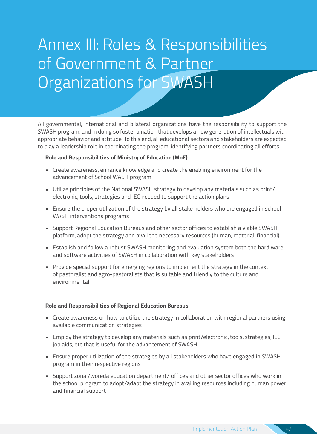# Annex III: Roles & Responsibilities of Government & Partner Organizations for SWASH

All governmental, international and bilateral organizations have the responsibility to support the SWASH program, and in doing so foster a nation that develops a new generation of intellectuals with appropriate behavior and attitude. To this end, all educational sectors and stakeholders are expected to play a leadership role in coordinating the program, identifying partners coordinating all efforts.

#### **Role and Responsibilities of Ministry of Education (MoE)**

- Create awareness, enhance knowledge and create the enabling environment for the advancement of School WASH program
- Utilize principles of the National SWASH strategy to develop any materials such as print/ electronic, tools, strategies and IEC needed to support the action plans
- Ensure the proper utilization of the strategy by all stake holders who are engaged in school WASH interventions programs
- Support Regional Education Bureaus and other sector offices to establish a viable SWASH platform, adopt the strategy and avail the necessary resources (human, material, financial)
- Establish and follow a robust SWASH monitoring and evaluation system both the hard ware and software activities of SWASH in collaboration with key stakeholders
- Provide special support for emerging regions to implement the strategy in the context of pastoralist and agro-pastoralists that is suitable and friendly to the culture and environmental

#### **Role and Responsibilities of Regional Education Bureaus**

- Create awareness on how to utilize the strategy in collaboration with regional partners using available communication strategies
- Employ the strategy to develop any materials such as print/electronic, tools, strategies, IEC, job aids, etc that is useful for the advancement of SWASH
- Ensure proper utilization of the strategies by all stakeholders who have engaged in SWASH program in their respective regions
- Support zonal/woreda education department/ offices and other sector offices who work in the school program to adopt/adapt the strategy in availing resources including human power and financial support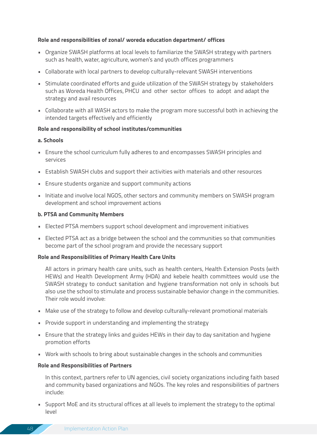#### **Role and responsibilities of zonal/ woreda education department/ offices**

- Organize SWASH platforms at local levels to familiarize the SWASH strategy with partners such as health, water, agriculture, women's and youth offices programmers
- Collaborate with local partners to develop culturally-relevant SWASH interventions
- Stimulate coordinated efforts and guide utilization of the SWASH strategy by stakeholders such as Woreda Health Offices, PHCU and other sector offices to adopt and adapt the strategy and avail resources
- Collaborate with all WASH actors to make the program more successful both in achieving the intended targets effectively and efficiently

#### **Role and responsibility of school institutes/communities**

#### **a. Schools**

- Ensure the school curriculum fully adheres to and encompasses SWASH principles and services
- Establish SWASH clubs and support their activities with materials and other resources
- Ensure students organize and support community actions
- Initiate and involve local NGOS, other sectors and community members on SWASH program development and school improvement actions

#### **b. PTSA and Community Members**

- Elected PTSA members support school development and improvement initiatives
- Elected PTSA act as a bridge between the school and the communities so that communities become part of the school program and provide the necessary support

#### **Role and Responsibilities of Primary Health Care Units**

All actors in primary health care units, such as health centers, Health Extension Posts (with HEWs) and Health Development Army (HDA) and kebele health committees would use the SWASH strategy to conduct sanitation and hygiene transformation not only in schools but also use the school to stimulate and process sustainable behavior change in the communities. Their role would involve:

- Make use of the strategy to follow and develop culturally-relevant promotional materials
- Provide support in understanding and implementing the strategy
- Ensure that the strategy links and guides HEWs in their day to day sanitation and hygiene promotion efforts
- Work with schools to bring about sustainable changes in the schools and communities

#### **Role and Responsibilities of Partners**

In this context, partners refer to UN agencies, civil society organizations including faith based and community based organizations and NGOs. The key roles and responsibilities of partners include:

• Support MoE and its structural offices at all levels to implement the strategy to the optimal level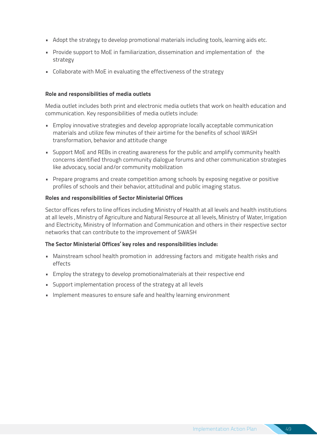- Adopt the strategy to develop promotional materials including tools, learning aids etc.
- Provide support to MoE in familiarization, dissemination and implementation of the strategy
- Collaborate with MoE in evaluating the effectiveness of the strategy

#### **Role and responsibilities of media outlets**

Media outlet includes both print and electronic media outlets that work on health education and communication. Key responsibilities of media outlets include:

- Employ innovative strategies and develop appropriate locally acceptable communication materials and utilize few minutes of their airtime for the benefits of school WASH transformation, behavior and attitude change
- Support MoE and REBs in creating awareness for the public and amplify community health concerns identified through community dialogue forums and other communication strategies like advocacy, social and/or community mobilization
- Prepare programs and create competition among schools by exposing negative or positive profiles of schools and their behavior, attitudinal and public imaging status.

#### **Roles and responsibilities of Sector Ministerial Offices**

Sector offices refers to line offices including Ministry of Health at all levels and health institutions at all levels , Ministry of Agriculture and Natural Resource at all levels, Ministry of Water, Irrigation and Electricity, Ministry of Information and Communication and others in their respective sector networks that can contribute to the improvement of SWASH

#### **The Sector Ministerial Offices' key roles and responsibilities include:**

- Mainstream school health promotion in addressing factors and mitigate health risks and effects
- Employ the strategy to develop promotionalmaterials at their respective end
- Support implementation process of the strategy at all levels
- Implement measures to ensure safe and healthy learning environment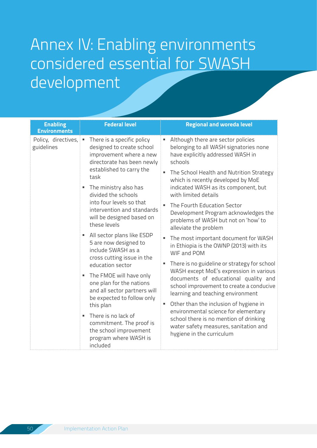# Annex IV: Enabling environments considered essential for SWASH development

| <b>Enabling</b><br><b>Environments</b> | <b>Federal level</b>                                                                                                                                                                                                                                                                                                                                                                                                                                                                                                                                                         | <b>Regional and woreda level</b>                                                                                                                                                                                                                                                                                                                                                                                                                                                                                                                                                                                                                                                                                                                                                                                                    |
|----------------------------------------|------------------------------------------------------------------------------------------------------------------------------------------------------------------------------------------------------------------------------------------------------------------------------------------------------------------------------------------------------------------------------------------------------------------------------------------------------------------------------------------------------------------------------------------------------------------------------|-------------------------------------------------------------------------------------------------------------------------------------------------------------------------------------------------------------------------------------------------------------------------------------------------------------------------------------------------------------------------------------------------------------------------------------------------------------------------------------------------------------------------------------------------------------------------------------------------------------------------------------------------------------------------------------------------------------------------------------------------------------------------------------------------------------------------------------|
| Policy, directives,<br>guidelines      | There is a specific policy<br>designed to create school<br>improvement where a new<br>directorate has been newly<br>established to carry the<br>task<br>The ministry also has<br>divided the schools<br>into four levels so that<br>intervention and standards<br>will be designed based on<br>these levels<br>All sector plans like ESDP<br>5 are now designed to<br>include SWASH as a<br>cross cutting issue in the<br>education sector<br>The FMOE will have only<br>one plan for the nations<br>and all sector partners will<br>be expected to follow only<br>this plan | Although there are sector policies<br>belonging to all WASH signatories none<br>have explicitly addressed WASH in<br>schools<br>The School Health and Nutrition Strategy<br>which is recently developed by MoE<br>indicated WASH as its component, but<br>with limited details<br>The Fourth Education Sector<br>Development Program acknowledges the<br>problems of WASH but not on 'how' to<br>alleviate the problem<br>The most important document for WASH<br>in Ethiopia is the OWNP (2013) with its<br>WIF and POM<br>There is no guideline or strategy for school<br>WASH except MoE's expression in various<br>documents of educational quality and<br>school improvement to create a conducive<br>learning and teaching environment<br>Other than the inclusion of hygiene in<br>٠<br>environmental science for elementary |
|                                        | There is no lack of<br>commitment. The proof is<br>the school improvement<br>program where WASH is<br>included                                                                                                                                                                                                                                                                                                                                                                                                                                                               | school there is no mention of drinking<br>water safety measures, sanitation and<br>hygiene in the curriculum                                                                                                                                                                                                                                                                                                                                                                                                                                                                                                                                                                                                                                                                                                                        |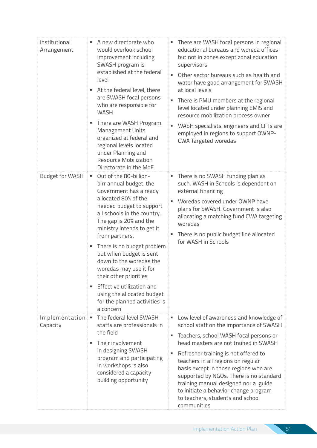| Institutional<br>Arrangement | A new directorate who<br>would overlook school<br>improvement including<br>SWASH program is<br>established at the federal<br>level<br>At the federal level, there<br>are SWASH focal persons<br>who are responsible for<br><b>WASH</b><br>There are WASH Program<br>Management Units<br>organized at federal and<br>regional levels located<br>under Planning and<br><b>Resource Mobilization</b><br>Directorate in the MoE                                                                     | • There are WASH focal persons in regional<br>educational bureaus and woreda offices<br>but not in zones except zonal education<br>supervisors<br>Other sector bureaus such as health and<br>water have good arrangement for SWASH<br>at local levels<br>There is PMU members at the regional<br>level located under planning EMIS and<br>resource mobilization process owner<br>WASH specialists, engineers and CFTs are<br>employed in regions to support OWNP-<br>CWA Targeted woredas |
|------------------------------|-------------------------------------------------------------------------------------------------------------------------------------------------------------------------------------------------------------------------------------------------------------------------------------------------------------------------------------------------------------------------------------------------------------------------------------------------------------------------------------------------|-------------------------------------------------------------------------------------------------------------------------------------------------------------------------------------------------------------------------------------------------------------------------------------------------------------------------------------------------------------------------------------------------------------------------------------------------------------------------------------------|
| <b>Budget for WASH</b>       | Out of the 80-billion-<br>birr annual budget, the<br>Government has already<br>allocated 80% of the<br>needed budget to support<br>all schools in the country.<br>The gap is 20% and the<br>ministry intends to get it<br>from partners.<br>There is no budget problem<br>٠.<br>but when budget is sent<br>down to the woredas the<br>woredas may use it for<br>their other priorities<br>Effective utilization and<br>using the allocated budget<br>for the planned activities is<br>a concern | • There is no SWASH funding plan as<br>such. WASH in Schools is dependent on<br>external financing<br>Woredas covered under OWNP have<br>plans for SWASH. Government is also<br>allocating a matching fund CWA targeting<br>woredas<br>There is no public budget line allocated<br>for WASH in Schools                                                                                                                                                                                    |
| Implementation<br>Capacity   | The federal level SWASH<br>ш<br>staffs are professionals in<br>the field<br>Their involvement<br>in designing SWASH<br>program and participating<br>in workshops is also<br>considered a capacity<br>building opportunity                                                                                                                                                                                                                                                                       | " Low level of awareness and knowledge of<br>school staff on the importance of SWASH<br>Teachers, school WASH focal persons or<br>head masters are not trained in SWASH<br>Refresher training is not offered to<br>٠<br>teachers in all regions on regular<br>basis except in those regions who are<br>supported by NGOs. There is no standard<br>training manual designed nor a guide<br>to initiate a behavior change program<br>to teachers, students and school<br>communities        |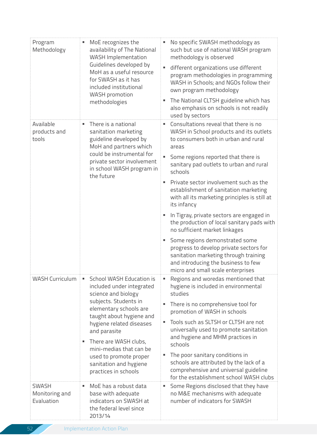| Program<br>Methodology                       | MoE recognizes the<br>availability of The National<br><b>WASH Implementation</b><br>Guidelines developed by<br>MoH as a useful resource<br>for SWASH as it has<br>included institutional<br><b>WASH</b> promotion<br>methodologies                                                                                                           | No specific SWASH methodology as<br>such but use of national WASH program<br>methodology is observed<br>different organizations use different<br>program methodologies in programming<br>WASH in Schools; and NGOs follow their<br>own program methodology<br>The National CLTSH guideline which has<br>also emphasis on schools is not readily<br>used by sectors                                                                                                                                                                                                                                                                                                         |
|----------------------------------------------|----------------------------------------------------------------------------------------------------------------------------------------------------------------------------------------------------------------------------------------------------------------------------------------------------------------------------------------------|----------------------------------------------------------------------------------------------------------------------------------------------------------------------------------------------------------------------------------------------------------------------------------------------------------------------------------------------------------------------------------------------------------------------------------------------------------------------------------------------------------------------------------------------------------------------------------------------------------------------------------------------------------------------------|
| Available<br>products and<br>tools           | There is a national<br>sanitation marketing<br>guideline developed by<br>MoH and partners which<br>could be instrumental for<br>private sector involvement<br>in school WASH program in<br>the future                                                                                                                                        | Consultations reveal that there is no<br>WASH in School products and its outlets<br>to consumers both in urban and rural<br>areas<br>Some regions reported that there is<br>sanitary pad outlets to urban and rural<br>schools<br>Private sector involvement such as the<br>establishment of sanitation marketing<br>with all its marketing principles is still at<br>its infancy<br>In Tigray, private sectors are engaged in<br>the production of local sanitary pads with<br>no sufficient market linkages<br>Some regions demonstrated some<br>progress to develop private sectors for<br>sanitation marketing through training<br>and introducing the business to few |
| <b>WASH Curriculum</b>                       | School WASH Education is<br>٠<br>included under integrated<br>science and biology<br>subjects. Students in<br>elementary schools are<br>taught about hygiene and<br>hygiene related diseases<br>and parasite<br>There are WASH clubs,<br>mini-medias that can be<br>used to promote proper<br>sanitation and hygiene<br>practices in schools | micro and small scale enterprises<br>Regions and woredas mentioned that<br>٠<br>hygiene is included in environmental<br>studies<br>There is no comprehensive tool for<br>promotion of WASH in schools<br>Tools such as SLTSH or CLTSH are not<br>universally used to promote sanitation<br>and hygiene and MHM practices in<br>schools<br>The poor sanitary conditions in<br>schools are attributed by the lack of a<br>comprehensive and universal guideline<br>for the establishment school WASH clubs                                                                                                                                                                   |
| <b>SWASH</b><br>Monitoring and<br>Evaluation | MoE has a robust data<br>base with adequate<br>indicators on SWASH at<br>the federal level since<br>2013/14                                                                                                                                                                                                                                  | Some Regions disclosed that they have<br>٠<br>no M&E mechanisms with adequate<br>number of indicators for SWASH                                                                                                                                                                                                                                                                                                                                                                                                                                                                                                                                                            |